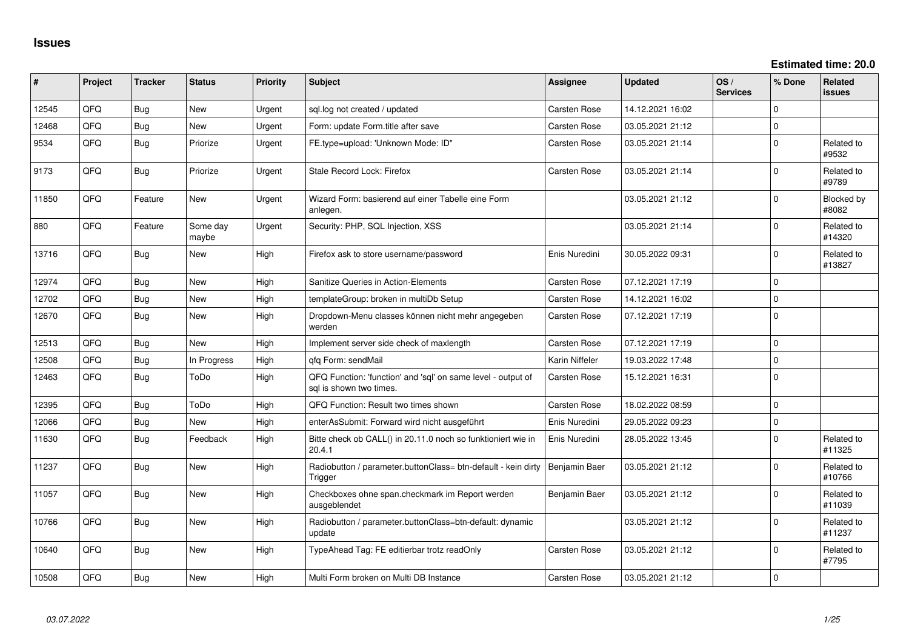| #     | Project    | <b>Tracker</b> | <b>Status</b>     | <b>Priority</b> | Subject                                                                                 | <b>Assignee</b>     | <b>Updated</b>   | OS/<br><b>Services</b> | % Done      | Related<br>issues    |
|-------|------------|----------------|-------------------|-----------------|-----------------------------------------------------------------------------------------|---------------------|------------------|------------------------|-------------|----------------------|
| 12545 | QFQ        | Bug            | <b>New</b>        | Urgent          | sql.log not created / updated                                                           | Carsten Rose        | 14.12.2021 16:02 |                        | $\Omega$    |                      |
| 12468 | QFQ        | <b>Bug</b>     | New               | Urgent          | Form: update Form.title after save                                                      | <b>Carsten Rose</b> | 03.05.2021 21:12 |                        | $\mathbf 0$ |                      |
| 9534  | QFQ        | Bug            | Priorize          | Urgent          | FE.type=upload: 'Unknown Mode: ID"                                                      | Carsten Rose        | 03.05.2021 21:14 |                        | $\Omega$    | Related to<br>#9532  |
| 9173  | QFQ        | Bug            | Priorize          | Urgent          | Stale Record Lock: Firefox                                                              | Carsten Rose        | 03.05.2021 21:14 |                        | $\Omega$    | Related to<br>#9789  |
| 11850 | QFQ        | Feature        | New               | Urgent          | Wizard Form: basierend auf einer Tabelle eine Form<br>anlegen.                          |                     | 03.05.2021 21:12 |                        | $\Omega$    | Blocked by<br>#8082  |
| 880   | QFQ        | Feature        | Some day<br>maybe | Urgent          | Security: PHP, SQL Injection, XSS                                                       |                     | 03.05.2021 21:14 |                        | $\Omega$    | Related to<br>#14320 |
| 13716 | QFQ        | Bug            | <b>New</b>        | High            | Firefox ask to store username/password                                                  | Enis Nuredini       | 30.05.2022 09:31 |                        | $\Omega$    | Related to<br>#13827 |
| 12974 | QFQ        | Bug            | <b>New</b>        | High            | Sanitize Queries in Action-Elements                                                     | Carsten Rose        | 07.12.2021 17:19 |                        | $\Omega$    |                      |
| 12702 | QFQ        | <b>Bug</b>     | <b>New</b>        | High            | templateGroup: broken in multiDb Setup                                                  | Carsten Rose        | 14.12.2021 16:02 |                        | $\Omega$    |                      |
| 12670 | QFQ        | Bug            | <b>New</b>        | High            | Dropdown-Menu classes können nicht mehr angegeben<br>werden                             | Carsten Rose        | 07.12.2021 17:19 |                        | $\Omega$    |                      |
| 12513 | <b>OFO</b> | Bug            | <b>New</b>        | High            | Implement server side check of maxlength                                                | Carsten Rose        | 07.12.2021 17:19 |                        | $\Omega$    |                      |
| 12508 | QFQ        | Bug            | In Progress       | High            | gfg Form: sendMail                                                                      | Karin Niffeler      | 19.03.2022 17:48 |                        | $\Omega$    |                      |
| 12463 | QFQ        | Bug            | ToDo              | High            | QFQ Function: 'function' and 'sql' on same level - output of<br>sal is shown two times. | Carsten Rose        | 15.12.2021 16:31 |                        | $\Omega$    |                      |
| 12395 | QFQ        | Bug            | ToDo              | High            | QFQ Function: Result two times shown                                                    | Carsten Rose        | 18.02.2022 08:59 |                        | $\Omega$    |                      |
| 12066 | QFQ        | Bug            | <b>New</b>        | High            | enterAsSubmit: Forward wird nicht ausgeführt                                            | Enis Nuredini       | 29.05.2022 09:23 |                        | $\Omega$    |                      |
| 11630 | QFQ        | Bug            | Feedback          | High            | Bitte check ob CALL() in 20.11.0 noch so funktioniert wie in<br>20.4.1                  | Enis Nuredini       | 28.05.2022 13:45 |                        | 0           | Related to<br>#11325 |
| 11237 | QFQ        | Bug            | New               | High            | Radiobutton / parameter.buttonClass= btn-default - kein dirty<br>Trigger                | Benjamin Baer       | 03.05.2021 21:12 |                        | 0           | Related to<br>#10766 |
| 11057 | QFQ        | Bug            | <b>New</b>        | High            | Checkboxes ohne span.checkmark im Report werden<br>ausgeblendet                         | Benjamin Baer       | 03.05.2021 21:12 |                        | $\Omega$    | Related to<br>#11039 |
| 10766 | QFQ        | Bug            | <b>New</b>        | High            | Radiobutton / parameter.buttonClass=btn-default: dynamic<br>update                      |                     | 03.05.2021 21:12 |                        | $\Omega$    | Related to<br>#11237 |
| 10640 | QFQ        | Bug            | New               | High            | TypeAhead Tag: FE editierbar trotz readOnly                                             | <b>Carsten Rose</b> | 03.05.2021 21:12 |                        | $\Omega$    | Related to<br>#7795  |
| 10508 | QFQ        | Bug            | New               | High            | Multi Form broken on Multi DB Instance                                                  | <b>Carsten Rose</b> | 03.05.2021 21:12 |                        | $\Omega$    |                      |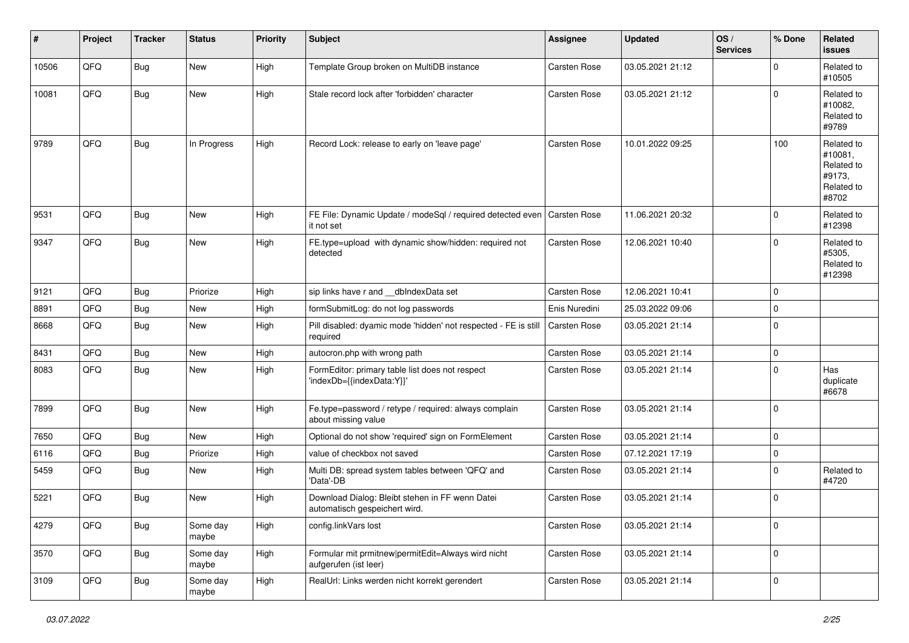| #     | Project | <b>Tracker</b> | <b>Status</b>     | <b>Priority</b> | <b>Subject</b>                                                                   | Assignee      | <b>Updated</b>   | OS/<br><b>Services</b> | % Done      | Related<br><b>issues</b>                                             |
|-------|---------|----------------|-------------------|-----------------|----------------------------------------------------------------------------------|---------------|------------------|------------------------|-------------|----------------------------------------------------------------------|
| 10506 | QFQ     | <b>Bug</b>     | New               | High            | Template Group broken on MultiDB instance                                        | Carsten Rose  | 03.05.2021 21:12 |                        | $\mathbf 0$ | Related to<br>#10505                                                 |
| 10081 | QFQ     | Bug            | New               | High            | Stale record lock after 'forbidden' character                                    | Carsten Rose  | 03.05.2021 21:12 |                        | $\mathbf 0$ | Related to<br>#10082.<br>Related to<br>#9789                         |
| 9789  | QFQ     | <b>Bug</b>     | In Progress       | High            | Record Lock: release to early on 'leave page'                                    | Carsten Rose  | 10.01.2022 09:25 |                        | 100         | Related to<br>#10081,<br>Related to<br>#9173.<br>Related to<br>#8702 |
| 9531  | QFQ     | Bug            | <b>New</b>        | High            | FE File: Dynamic Update / modeSql / required detected even<br>it not set         | Carsten Rose  | 11.06.2021 20:32 |                        | $\mathbf 0$ | Related to<br>#12398                                                 |
| 9347  | QFQ     | Bug            | New               | High            | FE.type=upload with dynamic show/hidden: required not<br>detected                | Carsten Rose  | 12.06.2021 10:40 |                        | $\mathbf 0$ | Related to<br>#5305,<br>Related to<br>#12398                         |
| 9121  | QFQ     | Bug            | Priorize          | High            | sip links have r and dblndexData set                                             | Carsten Rose  | 12.06.2021 10:41 |                        | 0           |                                                                      |
| 8891  | QFQ     | Bug            | <b>New</b>        | High            | formSubmitLog: do not log passwords                                              | Enis Nuredini | 25.03.2022 09:06 |                        | $\mathbf 0$ |                                                                      |
| 8668  | QFQ     | Bug            | New               | High            | Pill disabled: dyamic mode 'hidden' not respected - FE is still<br>required      | Carsten Rose  | 03.05.2021 21:14 |                        | $\mathbf 0$ |                                                                      |
| 8431  | QFQ     | Bug            | <b>New</b>        | High            | autocron.php with wrong path                                                     | Carsten Rose  | 03.05.2021 21:14 |                        | 0           |                                                                      |
| 8083  | QFQ     | Bug            | <b>New</b>        | High            | FormEditor: primary table list does not respect<br>'indexDb={{indexData:Y}}'     | Carsten Rose  | 03.05.2021 21:14 |                        | $\mathbf 0$ | Has<br>duplicate<br>#6678                                            |
| 7899  | QFQ     | Bug            | <b>New</b>        | High            | Fe.type=password / retype / required: always complain<br>about missing value     | Carsten Rose  | 03.05.2021 21:14 |                        | $\Omega$    |                                                                      |
| 7650  | QFQ     | Bug            | <b>New</b>        | High            | Optional do not show 'required' sign on FormElement                              | Carsten Rose  | 03.05.2021 21:14 |                        | $\mathbf 0$ |                                                                      |
| 6116  | QFQ     | <b>Bug</b>     | Priorize          | High            | value of checkbox not saved                                                      | Carsten Rose  | 07.12.2021 17:19 |                        | 0           |                                                                      |
| 5459  | QFQ     | Bug            | <b>New</b>        | High            | Multi DB: spread system tables between 'QFQ' and<br>'Data'-DB                    | Carsten Rose  | 03.05.2021 21:14 |                        | $\mathbf 0$ | Related to<br>#4720                                                  |
| 5221  | QFQ     | Bug            | New               | High            | Download Dialog: Bleibt stehen in FF wenn Datei<br>automatisch gespeichert wird. | Carsten Rose  | 03.05.2021 21:14 |                        | $\mathbf 0$ |                                                                      |
| 4279  | QFQ     | <b>Bug</b>     | Some day<br>maybe | High            | config.linkVars lost                                                             | Carsten Rose  | 03.05.2021 21:14 |                        | 0           |                                                                      |
| 3570  | QFQ     | <b>Bug</b>     | Some day<br>maybe | High            | Formular mit prmitnew permitEdit=Always wird nicht<br>aufgerufen (ist leer)      | Carsten Rose  | 03.05.2021 21:14 |                        | 0           |                                                                      |
| 3109  | QFQ     | Bug            | Some day<br>maybe | High            | RealUrl: Links werden nicht korrekt gerendert                                    | Carsten Rose  | 03.05.2021 21:14 |                        | 0           |                                                                      |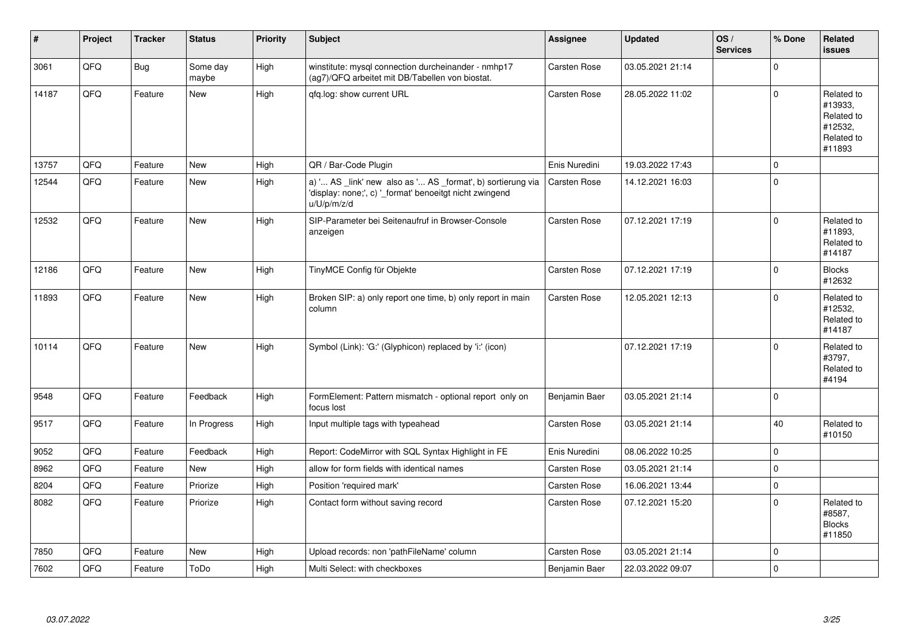| #     | Project | <b>Tracker</b> | <b>Status</b>     | <b>Priority</b> | <b>Subject</b>                                                                                                                        | <b>Assignee</b>     | <b>Updated</b>   | OS/<br><b>Services</b> | % Done      | Related<br><b>issues</b>                                               |
|-------|---------|----------------|-------------------|-----------------|---------------------------------------------------------------------------------------------------------------------------------------|---------------------|------------------|------------------------|-------------|------------------------------------------------------------------------|
| 3061  | QFQ     | Bug            | Some day<br>maybe | High            | winstitute: mysql connection durcheinander - nmhp17<br>(ag7)/QFQ arbeitet mit DB/Tabellen von biostat.                                | Carsten Rose        | 03.05.2021 21:14 |                        | $\Omega$    |                                                                        |
| 14187 | QFQ     | Feature        | New               | High            | qfq.log: show current URL                                                                                                             | <b>Carsten Rose</b> | 28.05.2022 11:02 |                        | $\Omega$    | Related to<br>#13933.<br>Related to<br>#12532,<br>Related to<br>#11893 |
| 13757 | QFQ     | Feature        | <b>New</b>        | High            | QR / Bar-Code Plugin                                                                                                                  | Enis Nuredini       | 19.03.2022 17:43 |                        | $\mathbf 0$ |                                                                        |
| 12544 | QFQ     | Feature        | New               | High            | a) ' AS _link' new also as ' AS _format', b) sortierung via<br>'display: none;', c) ' format' benoeitgt nicht zwingend<br>u/U/p/m/z/d | <b>Carsten Rose</b> | 14.12.2021 16:03 |                        | $\Omega$    |                                                                        |
| 12532 | QFQ     | Feature        | <b>New</b>        | High            | SIP-Parameter bei Seitenaufruf in Browser-Console<br>anzeigen                                                                         | Carsten Rose        | 07.12.2021 17:19 |                        | $\Omega$    | Related to<br>#11893,<br>Related to<br>#14187                          |
| 12186 | QFQ     | Feature        | <b>New</b>        | High            | TinyMCE Config für Objekte                                                                                                            | <b>Carsten Rose</b> | 07.12.2021 17:19 |                        | $\Omega$    | <b>Blocks</b><br>#12632                                                |
| 11893 | QFQ     | Feature        | <b>New</b>        | High            | Broken SIP: a) only report one time, b) only report in main<br>column                                                                 | <b>Carsten Rose</b> | 12.05.2021 12:13 |                        | $\Omega$    | Related to<br>#12532,<br>Related to<br>#14187                          |
| 10114 | QFQ     | Feature        | <b>New</b>        | High            | Symbol (Link): 'G:' (Glyphicon) replaced by 'i:' (icon)                                                                               |                     | 07.12.2021 17:19 |                        | $\Omega$    | Related to<br>#3797,<br>Related to<br>#4194                            |
| 9548  | QFQ     | Feature        | Feedback          | High            | FormElement: Pattern mismatch - optional report only on<br>focus lost                                                                 | Benjamin Baer       | 03.05.2021 21:14 |                        | $\Omega$    |                                                                        |
| 9517  | QFQ     | Feature        | In Progress       | High            | Input multiple tags with typeahead                                                                                                    | Carsten Rose        | 03.05.2021 21:14 |                        | 40          | Related to<br>#10150                                                   |
| 9052  | QFQ     | Feature        | Feedback          | High            | Report: CodeMirror with SQL Syntax Highlight in FE                                                                                    | Enis Nuredini       | 08.06.2022 10:25 |                        | $\mathbf 0$ |                                                                        |
| 8962  | QFQ     | Feature        | New               | High            | allow for form fields with identical names                                                                                            | Carsten Rose        | 03.05.2021 21:14 |                        | $\mathbf 0$ |                                                                        |
| 8204  | QFQ     | Feature        | Priorize          | High            | Position 'required mark'                                                                                                              | <b>Carsten Rose</b> | 16.06.2021 13:44 |                        | $\Omega$    |                                                                        |
| 8082  | QFQ     | Feature        | Priorize          | High            | Contact form without saving record                                                                                                    | <b>Carsten Rose</b> | 07.12.2021 15:20 |                        | $\Omega$    | Related to<br>#8587,<br><b>Blocks</b><br>#11850                        |
| 7850  | QFQ     | Feature        | <b>New</b>        | High            | Upload records: non 'pathFileName' column                                                                                             | Carsten Rose        | 03.05.2021 21:14 |                        | $\Omega$    |                                                                        |
| 7602  | QFQ     | Feature        | ToDo              | High            | Multi Select: with checkboxes                                                                                                         | Benjamin Baer       | 22.03.2022 09:07 |                        | $\Omega$    |                                                                        |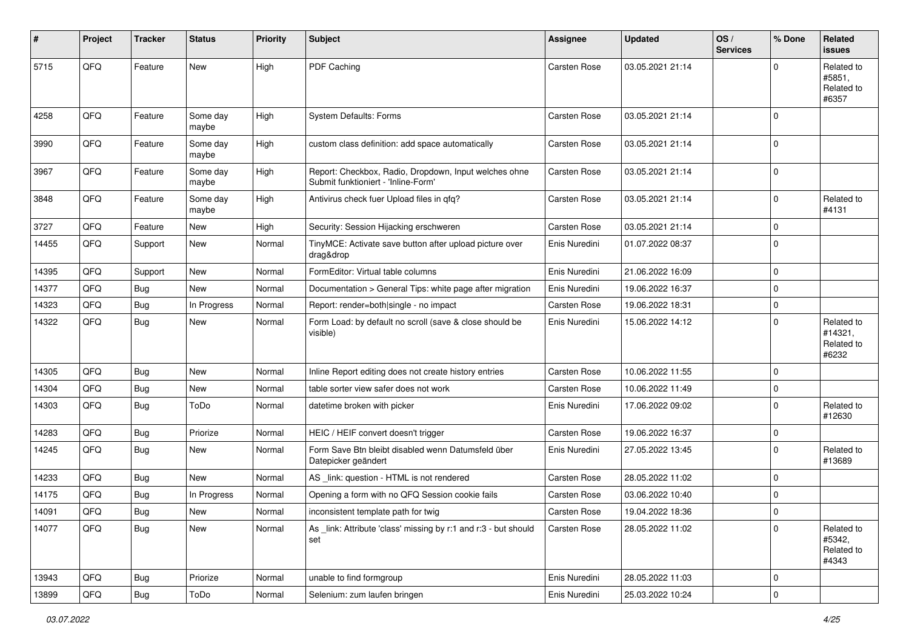| ∦     | Project | <b>Tracker</b> | <b>Status</b>     | <b>Priority</b> | <b>Subject</b>                                                                               | Assignee      | <b>Updated</b>   | OS/<br><b>Services</b> | % Done      | Related<br><b>issues</b>                     |
|-------|---------|----------------|-------------------|-----------------|----------------------------------------------------------------------------------------------|---------------|------------------|------------------------|-------------|----------------------------------------------|
| 5715  | QFQ     | Feature        | New               | High            | PDF Caching                                                                                  | Carsten Rose  | 03.05.2021 21:14 |                        | $\Omega$    | Related to<br>#5851,<br>Related to<br>#6357  |
| 4258  | QFQ     | Feature        | Some day<br>maybe | High            | System Defaults: Forms                                                                       | Carsten Rose  | 03.05.2021 21:14 |                        | $\Omega$    |                                              |
| 3990  | QFQ     | Feature        | Some day<br>maybe | High            | custom class definition: add space automatically                                             | Carsten Rose  | 03.05.2021 21:14 |                        | $\mathbf 0$ |                                              |
| 3967  | QFQ     | Feature        | Some day<br>maybe | High            | Report: Checkbox, Radio, Dropdown, Input welches ohne<br>Submit funktioniert - 'Inline-Form' | Carsten Rose  | 03.05.2021 21:14 |                        | $\mathbf 0$ |                                              |
| 3848  | QFQ     | Feature        | Some day<br>maybe | High            | Antivirus check fuer Upload files in qfq?                                                    | Carsten Rose  | 03.05.2021 21:14 |                        | $\mathbf 0$ | Related to<br>#4131                          |
| 3727  | QFQ     | Feature        | <b>New</b>        | High            | Security: Session Hijacking erschweren                                                       | Carsten Rose  | 03.05.2021 21:14 |                        | $\mathbf 0$ |                                              |
| 14455 | QFQ     | Support        | New               | Normal          | TinyMCE: Activate save button after upload picture over<br>drag&drop                         | Enis Nuredini | 01.07.2022 08:37 |                        | $\Omega$    |                                              |
| 14395 | QFQ     | Support        | New               | Normal          | FormEditor: Virtual table columns                                                            | Enis Nuredini | 21.06.2022 16:09 |                        | $\mathbf 0$ |                                              |
| 14377 | QFQ     | Bug            | New               | Normal          | Documentation > General Tips: white page after migration                                     | Enis Nuredini | 19.06.2022 16:37 |                        | $\mathbf 0$ |                                              |
| 14323 | QFQ     | Bug            | In Progress       | Normal          | Report: render=both single - no impact                                                       | Carsten Rose  | 19.06.2022 18:31 |                        | $\mathbf 0$ |                                              |
| 14322 | QFQ     | Bug            | New               | Normal          | Form Load: by default no scroll (save & close should be<br>visible)                          | Enis Nuredini | 15.06.2022 14:12 |                        | $\Omega$    | Related to<br>#14321,<br>Related to<br>#6232 |
| 14305 | QFQ     | <b>Bug</b>     | <b>New</b>        | Normal          | Inline Report editing does not create history entries                                        | Carsten Rose  | 10.06.2022 11:55 |                        | $\mathbf 0$ |                                              |
| 14304 | QFQ     | Bug            | <b>New</b>        | Normal          | table sorter view safer does not work                                                        | Carsten Rose  | 10.06.2022 11:49 |                        | $\pmb{0}$   |                                              |
| 14303 | QFQ     | Bug            | ToDo              | Normal          | datetime broken with picker                                                                  | Enis Nuredini | 17.06.2022 09:02 |                        | $\mathbf 0$ | Related to<br>#12630                         |
| 14283 | QFQ     | Bug            | Priorize          | Normal          | HEIC / HEIF convert doesn't trigger                                                          | Carsten Rose  | 19.06.2022 16:37 |                        | 0           |                                              |
| 14245 | QFQ     | Bug            | New               | Normal          | Form Save Btn bleibt disabled wenn Datumsfeld über<br>Datepicker geändert                    | Enis Nuredini | 27.05.2022 13:45 |                        | $\Omega$    | Related to<br>#13689                         |
| 14233 | QFQ     | Bug            | <b>New</b>        | Normal          | AS _link: question - HTML is not rendered                                                    | Carsten Rose  | 28.05.2022 11:02 |                        | $\mathbf 0$ |                                              |
| 14175 | QFQ     | Bug            | In Progress       | Normal          | Opening a form with no QFQ Session cookie fails                                              | Carsten Rose  | 03.06.2022 10:40 |                        | $\mathbf 0$ |                                              |
| 14091 | QFQ     | Bug            | <b>New</b>        | Normal          | inconsistent template path for twig                                                          | Carsten Rose  | 19.04.2022 18:36 |                        | $\mathbf 0$ |                                              |
| 14077 | QFQ     | <b>Bug</b>     | New               | Normal          | As link: Attribute 'class' missing by r:1 and r:3 - but should<br>set                        | Carsten Rose  | 28.05.2022 11:02 |                        | $\mathbf 0$ | Related to<br>#5342,<br>Related to<br>#4343  |
| 13943 | QFO     | Bug            | Priorize          | Normal          | unable to find formgroup                                                                     | Enis Nuredini | 28.05.2022 11:03 |                        | $\mathbf 0$ |                                              |
| 13899 | QFG     | Bug            | ToDo              | Normal          | Selenium: zum laufen bringen                                                                 | Enis Nuredini | 25.03.2022 10:24 |                        | $\pmb{0}$   |                                              |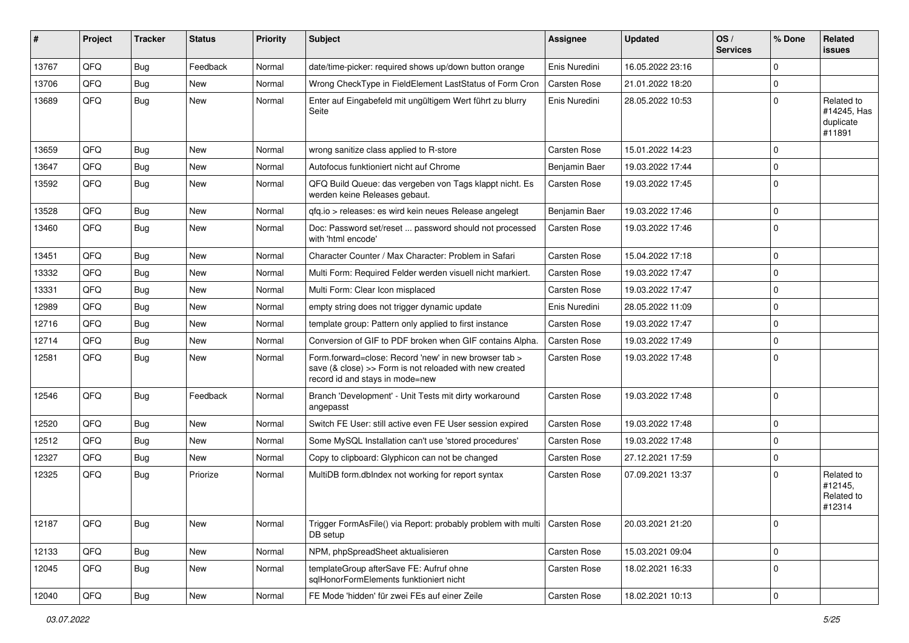| #     | Project | <b>Tracker</b> | <b>Status</b> | <b>Priority</b> | <b>Subject</b>                                                                                                                                      | Assignee            | <b>Updated</b>   | OS/<br><b>Services</b> | % Done      | Related<br><b>issues</b>                         |
|-------|---------|----------------|---------------|-----------------|-----------------------------------------------------------------------------------------------------------------------------------------------------|---------------------|------------------|------------------------|-------------|--------------------------------------------------|
| 13767 | QFQ     | Bug            | Feedback      | Normal          | date/time-picker: required shows up/down button orange                                                                                              | Enis Nuredini       | 16.05.2022 23:16 |                        | $\Omega$    |                                                  |
| 13706 | QFQ     | <b>Bug</b>     | New           | Normal          | Wrong CheckType in FieldElement LastStatus of Form Cron                                                                                             | <b>Carsten Rose</b> | 21.01.2022 18:20 |                        | $\mathbf 0$ |                                                  |
| 13689 | QFQ     | Bug            | New           | Normal          | Enter auf Eingabefeld mit ungültigem Wert führt zu blurry<br>Seite                                                                                  | Enis Nuredini       | 28.05.2022 10:53 |                        | $\mathbf 0$ | Related to<br>#14245, Has<br>duplicate<br>#11891 |
| 13659 | QFQ     | <b>Bug</b>     | <b>New</b>    | Normal          | wrong sanitize class applied to R-store                                                                                                             | <b>Carsten Rose</b> | 15.01.2022 14:23 |                        | $\mathbf 0$ |                                                  |
| 13647 | QFQ     | <b>Bug</b>     | New           | Normal          | Autofocus funktioniert nicht auf Chrome                                                                                                             | Benjamin Baer       | 19.03.2022 17:44 |                        | 0           |                                                  |
| 13592 | QFQ     | <b>Bug</b>     | New           | Normal          | QFQ Build Queue: das vergeben von Tags klappt nicht. Es<br>werden keine Releases gebaut.                                                            | Carsten Rose        | 19.03.2022 17:45 |                        | $\mathbf 0$ |                                                  |
| 13528 | QFQ     | <b>Bug</b>     | <b>New</b>    | Normal          | qfq.io > releases: es wird kein neues Release angelegt                                                                                              | Benjamin Baer       | 19.03.2022 17:46 |                        | $\Omega$    |                                                  |
| 13460 | QFQ     | <b>Bug</b>     | New           | Normal          | Doc: Password set/reset  password should not processed<br>with 'html encode'                                                                        | Carsten Rose        | 19.03.2022 17:46 |                        | $\mathbf 0$ |                                                  |
| 13451 | QFQ     | <b>Bug</b>     | <b>New</b>    | Normal          | Character Counter / Max Character: Problem in Safari                                                                                                | Carsten Rose        | 15.04.2022 17:18 |                        | $\mathbf 0$ |                                                  |
| 13332 | QFQ     | Bug            | <b>New</b>    | Normal          | Multi Form: Required Felder werden visuell nicht markiert.                                                                                          | <b>Carsten Rose</b> | 19.03.2022 17:47 |                        | $\mathbf 0$ |                                                  |
| 13331 | QFQ     | Bug            | New           | Normal          | Multi Form: Clear Icon misplaced                                                                                                                    | <b>Carsten Rose</b> | 19.03.2022 17:47 |                        | $\mathbf 0$ |                                                  |
| 12989 | QFQ     | Bug            | <b>New</b>    | Normal          | empty string does not trigger dynamic update                                                                                                        | Enis Nuredini       | 28.05.2022 11:09 |                        | $\mathbf 0$ |                                                  |
| 12716 | QFQ     | Bug            | New           | Normal          | template group: Pattern only applied to first instance                                                                                              | <b>Carsten Rose</b> | 19.03.2022 17:47 |                        | 0           |                                                  |
| 12714 | QFQ     | <b>Bug</b>     | <b>New</b>    | Normal          | Conversion of GIF to PDF broken when GIF contains Alpha.                                                                                            | <b>Carsten Rose</b> | 19.03.2022 17:49 |                        | $\mathbf 0$ |                                                  |
| 12581 | QFQ     | Bug            | New           | Normal          | Form.forward=close: Record 'new' in new browser tab ><br>save (& close) >> Form is not reloaded with new created<br>record id and stays in mode=new | Carsten Rose        | 19.03.2022 17:48 |                        | $\mathbf 0$ |                                                  |
| 12546 | QFQ     | Bug            | Feedback      | Normal          | Branch 'Development' - Unit Tests mit dirty workaround<br>angepasst                                                                                 | <b>Carsten Rose</b> | 19.03.2022 17:48 |                        | $\Omega$    |                                                  |
| 12520 | QFQ     | <b>Bug</b>     | New           | Normal          | Switch FE User: still active even FE User session expired                                                                                           | Carsten Rose        | 19.03.2022 17:48 |                        | $\mathbf 0$ |                                                  |
| 12512 | QFQ     | <b>Bug</b>     | <b>New</b>    | Normal          | Some MySQL Installation can't use 'stored procedures'                                                                                               | <b>Carsten Rose</b> | 19.03.2022 17:48 |                        | $\mathbf 0$ |                                                  |
| 12327 | QFQ     | Bug            | New           | Normal          | Copy to clipboard: Glyphicon can not be changed                                                                                                     | Carsten Rose        | 27.12.2021 17:59 |                        | $\Omega$    |                                                  |
| 12325 | QFQ     | <b>Bug</b>     | Priorize      | Normal          | MultiDB form dblndex not working for report syntax                                                                                                  | <b>Carsten Rose</b> | 07.09.2021 13:37 |                        | $\Omega$    | Related to<br>#12145,<br>Related to<br>#12314    |
| 12187 | QFQ     | <b>Bug</b>     | New           | Normal          | Trigger FormAsFile() via Report: probably problem with multi<br>DB setup                                                                            | <b>Carsten Rose</b> | 20.03.2021 21:20 |                        | 0           |                                                  |
| 12133 | QFQ     | <b>Bug</b>     | New           | Normal          | NPM, phpSpreadSheet aktualisieren                                                                                                                   | Carsten Rose        | 15.03.2021 09:04 |                        | $\mathbf 0$ |                                                  |
| 12045 | QFQ     | Bug            | New           | Normal          | templateGroup afterSave FE: Aufruf ohne<br>sqlHonorFormElements funktioniert nicht                                                                  | Carsten Rose        | 18.02.2021 16:33 |                        | $\mathbf 0$ |                                                  |
| 12040 | QFQ     | <b>Bug</b>     | New           | Normal          | FE Mode 'hidden' für zwei FEs auf einer Zeile                                                                                                       | Carsten Rose        | 18.02.2021 10:13 |                        | $\pmb{0}$   |                                                  |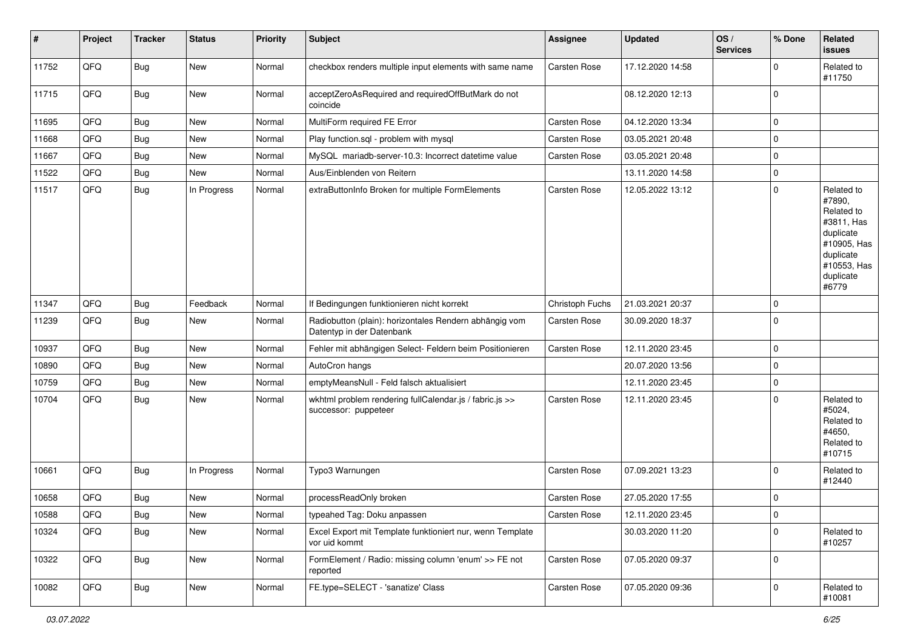| #     | Project | <b>Tracker</b> | <b>Status</b> | <b>Priority</b> | <b>Subject</b>                                                                      | Assignee        | <b>Updated</b>   | OS/<br><b>Services</b> | % Done      | Related<br>issues                                                                                                              |
|-------|---------|----------------|---------------|-----------------|-------------------------------------------------------------------------------------|-----------------|------------------|------------------------|-------------|--------------------------------------------------------------------------------------------------------------------------------|
| 11752 | QFQ     | <b>Bug</b>     | New           | Normal          | checkbox renders multiple input elements with same name                             | Carsten Rose    | 17.12.2020 14:58 |                        | $\Omega$    | Related to<br>#11750                                                                                                           |
| 11715 | QFQ     | <b>Bug</b>     | New           | Normal          | acceptZeroAsRequired and requiredOffButMark do not<br>coincide                      |                 | 08.12.2020 12:13 |                        | $\Omega$    |                                                                                                                                |
| 11695 | QFQ     | Bug            | New           | Normal          | MultiForm required FE Error                                                         | Carsten Rose    | 04.12.2020 13:34 |                        | $\Omega$    |                                                                                                                                |
| 11668 | QFQ     | <b>Bug</b>     | New           | Normal          | Play function.sql - problem with mysql                                              | Carsten Rose    | 03.05.2021 20:48 |                        | $\Omega$    |                                                                                                                                |
| 11667 | QFQ     | <b>Bug</b>     | New           | Normal          | MySQL mariadb-server-10.3: Incorrect datetime value                                 | Carsten Rose    | 03.05.2021 20:48 |                        | $\Omega$    |                                                                                                                                |
| 11522 | QFQ     | <b>Bug</b>     | New           | Normal          | Aus/Einblenden von Reitern                                                          |                 | 13.11.2020 14:58 |                        | $\mathbf 0$ |                                                                                                                                |
| 11517 | QFQ     | <b>Bug</b>     | In Progress   | Normal          | extraButtonInfo Broken for multiple FormElements                                    | Carsten Rose    | 12.05.2022 13:12 |                        | $\Omega$    | Related to<br>#7890,<br>Related to<br>#3811, Has<br>duplicate<br>#10905, Has<br>duplicate<br>#10553, Has<br>duplicate<br>#6779 |
| 11347 | QFQ     | <b>Bug</b>     | Feedback      | Normal          | If Bedingungen funktionieren nicht korrekt                                          | Christoph Fuchs | 21.03.2021 20:37 |                        | $\Omega$    |                                                                                                                                |
| 11239 | QFQ     | <b>Bug</b>     | New           | Normal          | Radiobutton (plain): horizontales Rendern abhängig vom<br>Datentyp in der Datenbank | Carsten Rose    | 30.09.2020 18:37 |                        | $\Omega$    |                                                                                                                                |
| 10937 | QFQ     | <b>Bug</b>     | New           | Normal          | Fehler mit abhängigen Select- Feldern beim Positionieren                            | Carsten Rose    | 12.11.2020 23:45 |                        | $\Omega$    |                                                                                                                                |
| 10890 | QFQ     | <b>Bug</b>     | New           | Normal          | AutoCron hangs                                                                      |                 | 20.07.2020 13:56 |                        | $\mathbf 0$ |                                                                                                                                |
| 10759 | QFQ     | <b>Bug</b>     | <b>New</b>    | Normal          | emptyMeansNull - Feld falsch aktualisiert                                           |                 | 12.11.2020 23:45 |                        | $\mathbf 0$ |                                                                                                                                |
| 10704 | QFQ     | <b>Bug</b>     | New           | Normal          | wkhtml problem rendering fullCalendar.js / fabric.js >><br>successor: puppeteer     | Carsten Rose    | 12.11.2020 23:45 |                        | $\Omega$    | Related to<br>#5024.<br>Related to<br>#4650,<br>Related to<br>#10715                                                           |
| 10661 | QFQ     | Bug            | In Progress   | Normal          | Typo3 Warnungen                                                                     | Carsten Rose    | 07.09.2021 13:23 |                        | $\Omega$    | Related to<br>#12440                                                                                                           |
| 10658 | QFQ     | <b>Bug</b>     | New           | Normal          | processReadOnly broken                                                              | Carsten Rose    | 27.05.2020 17:55 |                        | $\Omega$    |                                                                                                                                |
| 10588 | QFG     | Bug            | New           | Normal          | typeahed Tag: Doku anpassen                                                         | Carsten Rose    | 12.11.2020 23:45 |                        | 0           |                                                                                                                                |
| 10324 | QFQ     | Bug            | New           | Normal          | Excel Export mit Template funktioniert nur, wenn Template<br>vor uid kommt          |                 | 30.03.2020 11:20 |                        | $\mathbf 0$ | Related to<br>#10257                                                                                                           |
| 10322 | QFQ     | <b>Bug</b>     | New           | Normal          | FormElement / Radio: missing column 'enum' >> FE not<br>reported                    | Carsten Rose    | 07.05.2020 09:37 |                        | $\mathbf 0$ |                                                                                                                                |
| 10082 | QFQ     | Bug            | New           | Normal          | FE.type=SELECT - 'sanatize' Class                                                   | Carsten Rose    | 07.05.2020 09:36 |                        | $\mathbf 0$ | Related to<br>#10081                                                                                                           |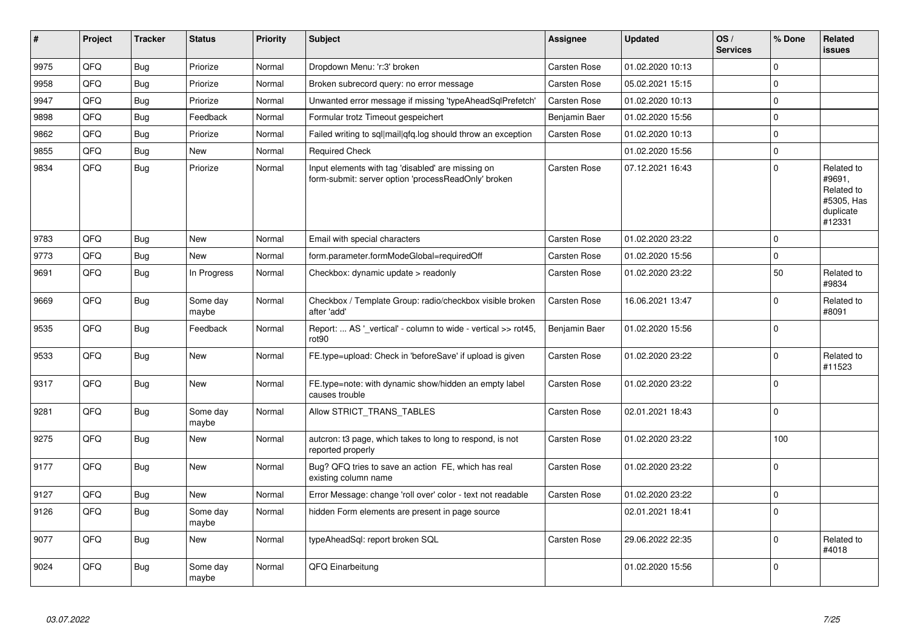| #    | Project | <b>Tracker</b> | <b>Status</b>     | <b>Priority</b> | <b>Subject</b>                                                                                           | Assignee            | <b>Updated</b>   | OS/<br><b>Services</b> | % Done   | Related<br><b>issues</b>                                                |
|------|---------|----------------|-------------------|-----------------|----------------------------------------------------------------------------------------------------------|---------------------|------------------|------------------------|----------|-------------------------------------------------------------------------|
| 9975 | QFQ     | Bug            | Priorize          | Normal          | Dropdown Menu: 'r:3' broken                                                                              | <b>Carsten Rose</b> | 01.02.2020 10:13 |                        | $\Omega$ |                                                                         |
| 9958 | QFQ     | <b>Bug</b>     | Priorize          | Normal          | Broken subrecord query: no error message                                                                 | Carsten Rose        | 05.02.2021 15:15 |                        | $\Omega$ |                                                                         |
| 9947 | QFQ     | <b>Bug</b>     | Priorize          | Normal          | Unwanted error message if missing 'typeAheadSqlPrefetch'                                                 | <b>Carsten Rose</b> | 01.02.2020 10:13 |                        | $\Omega$ |                                                                         |
| 9898 | QFQ     | <b>Bug</b>     | Feedback          | Normal          | Formular trotz Timeout gespeichert                                                                       | Benjamin Baer       | 01.02.2020 15:56 |                        | $\Omega$ |                                                                         |
| 9862 | QFQ     | <b>Bug</b>     | Priorize          | Normal          | Failed writing to sql mail qfq.log should throw an exception                                             | <b>Carsten Rose</b> | 01.02.2020 10:13 |                        | $\Omega$ |                                                                         |
| 9855 | QFQ     | Bug            | New               | Normal          | <b>Required Check</b>                                                                                    |                     | 01.02.2020 15:56 |                        | $\Omega$ |                                                                         |
| 9834 | QFQ     | <b>Bug</b>     | Priorize          | Normal          | Input elements with tag 'disabled' are missing on<br>form-submit: server option 'processReadOnly' broken | Carsten Rose        | 07.12.2021 16:43 |                        | $\Omega$ | Related to<br>#9691,<br>Related to<br>#5305, Has<br>duplicate<br>#12331 |
| 9783 | QFQ     | Bug            | <b>New</b>        | Normal          | Email with special characters                                                                            | Carsten Rose        | 01.02.2020 23:22 |                        | $\Omega$ |                                                                         |
| 9773 | QFQ     | Bug            | <b>New</b>        | Normal          | form.parameter.formModeGlobal=requiredOff                                                                | Carsten Rose        | 01.02.2020 15:56 |                        | 0        |                                                                         |
| 9691 | QFQ     | <b>Bug</b>     | In Progress       | Normal          | Checkbox: dynamic update > readonly                                                                      | Carsten Rose        | 01.02.2020 23:22 |                        | 50       | Related to<br>#9834                                                     |
| 9669 | QFQ     | <b>Bug</b>     | Some day<br>maybe | Normal          | Checkbox / Template Group: radio/checkbox visible broken<br>after 'add'                                  | Carsten Rose        | 16.06.2021 13:47 |                        | $\Omega$ | Related to<br>#8091                                                     |
| 9535 | QFQ     | <b>Bug</b>     | Feedback          | Normal          | Report:  AS '_vertical' - column to wide - vertical >> rot45,<br>rot90                                   | Benjamin Baer       | 01.02.2020 15:56 |                        | $\Omega$ |                                                                         |
| 9533 | QFQ     | Bug            | <b>New</b>        | Normal          | FE.type=upload: Check in 'beforeSave' if upload is given                                                 | Carsten Rose        | 01.02.2020 23:22 |                        | $\Omega$ | Related to<br>#11523                                                    |
| 9317 | QFQ     | Bug            | <b>New</b>        | Normal          | FE.type=note: with dynamic show/hidden an empty label<br>causes trouble                                  | Carsten Rose        | 01.02.2020 23:22 |                        | $\Omega$ |                                                                         |
| 9281 | QFQ     | <b>Bug</b>     | Some day<br>maybe | Normal          | Allow STRICT_TRANS_TABLES                                                                                | Carsten Rose        | 02.01.2021 18:43 |                        | $\Omega$ |                                                                         |
| 9275 | QFQ     | <b>Bug</b>     | <b>New</b>        | Normal          | autcron: t3 page, which takes to long to respond, is not<br>reported properly                            | Carsten Rose        | 01.02.2020 23:22 |                        | 100      |                                                                         |
| 9177 | QFQ     | Bug            | <b>New</b>        | Normal          | Bug? QFQ tries to save an action FE, which has real<br>existing column name                              | Carsten Rose        | 01.02.2020 23:22 |                        | $\Omega$ |                                                                         |
| 9127 | QFQ     | Bug            | New               | Normal          | Error Message: change 'roll over' color - text not readable                                              | Carsten Rose        | 01.02.2020 23:22 |                        | 0        |                                                                         |
| 9126 | QFQ     | Bug            | Some day<br>maybe | Normal          | hidden Form elements are present in page source                                                          |                     | 02.01.2021 18:41 |                        | $\Omega$ |                                                                         |
| 9077 | QFQ     | Bug            | <b>New</b>        | Normal          | typeAheadSql: report broken SQL                                                                          | <b>Carsten Rose</b> | 29.06.2022 22:35 |                        | $\Omega$ | Related to<br>#4018                                                     |
| 9024 | QFQ     | Bug            | Some day<br>maybe | Normal          | QFQ Einarbeitung                                                                                         |                     | 01.02.2020 15:56 |                        | $\Omega$ |                                                                         |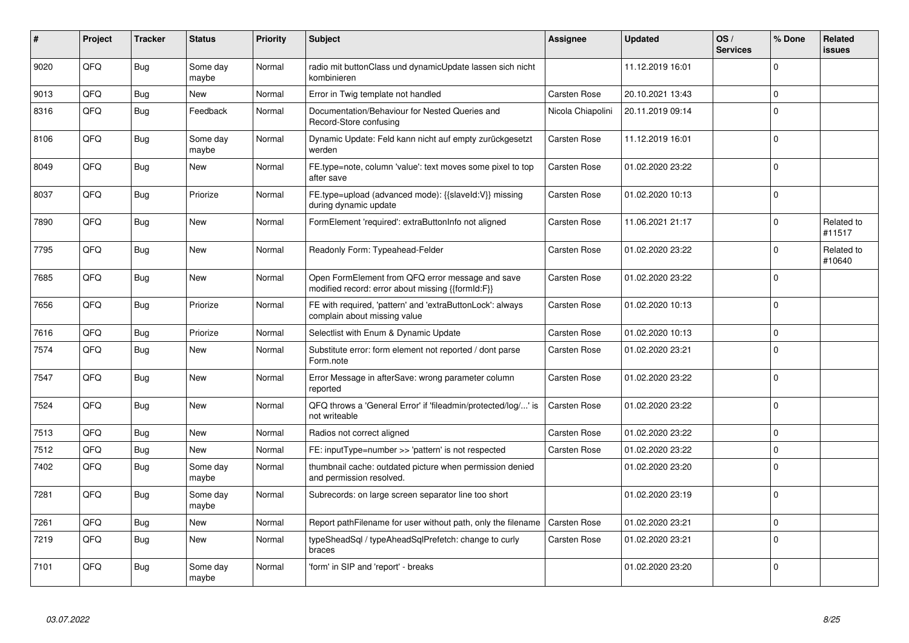| #    | Project | <b>Tracker</b> | <b>Status</b>     | <b>Priority</b> | <b>Subject</b>                                                                                        | Assignee            | <b>Updated</b>   | OS/<br><b>Services</b> | % Done      | <b>Related</b><br><b>issues</b> |
|------|---------|----------------|-------------------|-----------------|-------------------------------------------------------------------------------------------------------|---------------------|------------------|------------------------|-------------|---------------------------------|
| 9020 | QFQ     | <b>Bug</b>     | Some day<br>maybe | Normal          | radio mit buttonClass und dynamicUpdate lassen sich nicht<br>kombinieren                              |                     | 11.12.2019 16:01 |                        | $\Omega$    |                                 |
| 9013 | QFQ     | Bug            | <b>New</b>        | Normal          | Error in Twig template not handled                                                                    | <b>Carsten Rose</b> | 20.10.2021 13:43 |                        | $\mathbf 0$ |                                 |
| 8316 | QFQ     | <b>Bug</b>     | Feedback          | Normal          | Documentation/Behaviour for Nested Queries and<br>Record-Store confusing                              | Nicola Chiapolini   | 20.11.2019 09:14 |                        | $\mathbf 0$ |                                 |
| 8106 | QFQ     | Bug            | Some day<br>maybe | Normal          | Dynamic Update: Feld kann nicht auf empty zurückgesetzt<br>werden                                     | Carsten Rose        | 11.12.2019 16:01 |                        | $\mathbf 0$ |                                 |
| 8049 | QFQ     | <b>Bug</b>     | <b>New</b>        | Normal          | FE.type=note, column 'value': text moves some pixel to top<br>after save                              | Carsten Rose        | 01.02.2020 23:22 |                        | $\mathbf 0$ |                                 |
| 8037 | QFQ     | <b>Bug</b>     | Priorize          | Normal          | FE.type=upload (advanced mode): {{slaveId:V}} missing<br>during dynamic update                        | <b>Carsten Rose</b> | 01.02.2020 10:13 |                        | $\Omega$    |                                 |
| 7890 | QFQ     | <b>Bug</b>     | <b>New</b>        | Normal          | FormElement 'required': extraButtonInfo not aligned                                                   | <b>Carsten Rose</b> | 11.06.2021 21:17 |                        | $\Omega$    | Related to<br>#11517            |
| 7795 | QFQ     | <b>Bug</b>     | <b>New</b>        | Normal          | Readonly Form: Typeahead-Felder                                                                       | <b>Carsten Rose</b> | 01.02.2020 23:22 |                        | $\mathbf 0$ | Related to<br>#10640            |
| 7685 | QFQ     | Bug            | New               | Normal          | Open FormElement from QFQ error message and save<br>modified record: error about missing {{formId:F}} | Carsten Rose        | 01.02.2020 23:22 |                        | $\mathbf 0$ |                                 |
| 7656 | QFQ     | Bug            | Priorize          | Normal          | FE with required, 'pattern' and 'extraButtonLock': always<br>complain about missing value             | Carsten Rose        | 01.02.2020 10:13 |                        | $\Omega$    |                                 |
| 7616 | QFQ     | <b>Bug</b>     | Priorize          | Normal          | Selectlist with Enum & Dynamic Update                                                                 | <b>Carsten Rose</b> | 01.02.2020 10:13 |                        | $\mathsf 0$ |                                 |
| 7574 | QFQ     | <b>Bug</b>     | <b>New</b>        | Normal          | Substitute error: form element not reported / dont parse<br>Form.note                                 | Carsten Rose        | 01.02.2020 23:21 |                        | $\Omega$    |                                 |
| 7547 | QFQ     | <b>Bug</b>     | New               | Normal          | Error Message in afterSave: wrong parameter column<br>reported                                        | <b>Carsten Rose</b> | 01.02.2020 23:22 |                        | $\Omega$    |                                 |
| 7524 | QFQ     | <b>Bug</b>     | <b>New</b>        | Normal          | QFQ throws a 'General Error' if 'fileadmin/protected/log/' is<br>not writeable                        | Carsten Rose        | 01.02.2020 23:22 |                        | $\mathbf 0$ |                                 |
| 7513 | QFQ     | Bug            | <b>New</b>        | Normal          | Radios not correct aligned                                                                            | Carsten Rose        | 01.02.2020 23:22 |                        | $\mathbf 0$ |                                 |
| 7512 | QFQ     | <b>Bug</b>     | <b>New</b>        | Normal          | FE: inputType=number >> 'pattern' is not respected                                                    | Carsten Rose        | 01.02.2020 23:22 |                        | $\mathsf 0$ |                                 |
| 7402 | QFQ     | Bug            | Some day<br>maybe | Normal          | thumbnail cache: outdated picture when permission denied<br>and permission resolved.                  |                     | 01.02.2020 23:20 |                        | $\mathbf 0$ |                                 |
| 7281 | QFQ     | <b>Bug</b>     | Some day<br>maybe | Normal          | Subrecords: on large screen separator line too short                                                  |                     | 01.02.2020 23:19 |                        | $\mathbf 0$ |                                 |
| 7261 | QFQ     | <b>Bug</b>     | <b>New</b>        | Normal          | Report pathFilename for user without path, only the filename                                          | <b>Carsten Rose</b> | 01.02.2020 23:21 |                        | $\mathbf 0$ |                                 |
| 7219 | QFQ     | <b>Bug</b>     | New               | Normal          | typeSheadSql / typeAheadSqlPrefetch: change to curly<br>braces                                        | Carsten Rose        | 01.02.2020 23:21 |                        | $\mathbf 0$ |                                 |
| 7101 | QFQ     | Bug            | Some day<br>maybe | Normal          | 'form' in SIP and 'report' - breaks                                                                   |                     | 01.02.2020 23:20 |                        | $\Omega$    |                                 |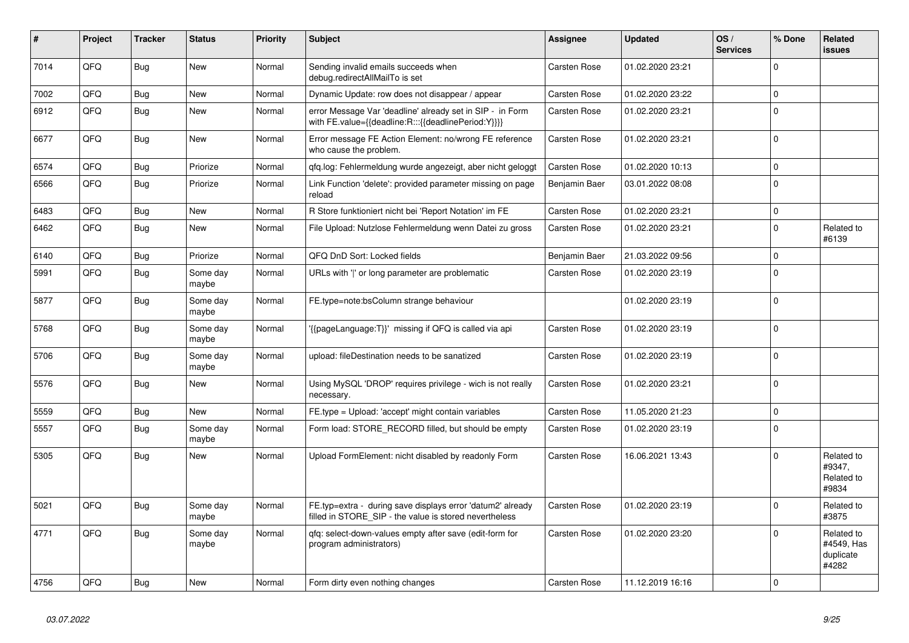| #    | Project | <b>Tracker</b> | <b>Status</b>     | <b>Priority</b> | <b>Subject</b>                                                                                                       | Assignee            | <b>Updated</b>   | OS/<br><b>Services</b> | % Done      | Related<br><b>issues</b>                       |
|------|---------|----------------|-------------------|-----------------|----------------------------------------------------------------------------------------------------------------------|---------------------|------------------|------------------------|-------------|------------------------------------------------|
| 7014 | QFQ     | Bug            | <b>New</b>        | Normal          | Sending invalid emails succeeds when<br>debug.redirectAllMailTo is set                                               | <b>Carsten Rose</b> | 01.02.2020 23:21 |                        | $\Omega$    |                                                |
| 7002 | QFQ     | <b>Bug</b>     | <b>New</b>        | Normal          | Dynamic Update: row does not disappear / appear                                                                      | <b>Carsten Rose</b> | 01.02.2020 23:22 |                        | $\mathbf 0$ |                                                |
| 6912 | QFQ     | Bug            | <b>New</b>        | Normal          | error Message Var 'deadline' already set in SIP - in Form<br>with FE.value={{deadline:R:::{{deadlinePeriod:Y}}}}     | <b>Carsten Rose</b> | 01.02.2020 23:21 |                        | $\Omega$    |                                                |
| 6677 | QFQ     | <b>Bug</b>     | <b>New</b>        | Normal          | Error message FE Action Element: no/wrong FE reference<br>who cause the problem.                                     | <b>Carsten Rose</b> | 01.02.2020 23:21 |                        | $\mathbf 0$ |                                                |
| 6574 | QFQ     | <b>Bug</b>     | Priorize          | Normal          | qfq.log: Fehlermeldung wurde angezeigt, aber nicht geloggt                                                           | <b>Carsten Rose</b> | 01.02.2020 10:13 |                        | $\pmb{0}$   |                                                |
| 6566 | QFQ     | Bug            | Priorize          | Normal          | Link Function 'delete': provided parameter missing on page<br>reload                                                 | Benjamin Baer       | 03.01.2022 08:08 |                        | $\mathbf 0$ |                                                |
| 6483 | QFQ     | <b>Bug</b>     | New               | Normal          | R Store funktioniert nicht bei 'Report Notation' im FE                                                               | Carsten Rose        | 01.02.2020 23:21 |                        | $\mathbf 0$ |                                                |
| 6462 | QFQ     | Bug            | New               | Normal          | File Upload: Nutzlose Fehlermeldung wenn Datei zu gross                                                              | <b>Carsten Rose</b> | 01.02.2020 23:21 |                        | $\pmb{0}$   | Related to<br>#6139                            |
| 6140 | QFQ     | Bug            | Priorize          | Normal          | QFQ DnD Sort: Locked fields                                                                                          | Benjamin Baer       | 21.03.2022 09:56 |                        | $\mathbf 0$ |                                                |
| 5991 | QFQ     | Bug            | Some day<br>maybe | Normal          | URLs with 'I' or long parameter are problematic                                                                      | <b>Carsten Rose</b> | 01.02.2020 23:19 |                        | $\mathbf 0$ |                                                |
| 5877 | QFQ     | Bug            | Some day<br>maybe | Normal          | FE.type=note:bsColumn strange behaviour                                                                              |                     | 01.02.2020 23:19 |                        | $\Omega$    |                                                |
| 5768 | QFQ     | Bug            | Some day<br>maybe | Normal          | '{{pageLanguage:T}}' missing if QFQ is called via api                                                                | <b>Carsten Rose</b> | 01.02.2020 23:19 |                        | $\mathbf 0$ |                                                |
| 5706 | QFQ     | Bug            | Some day<br>maybe | Normal          | upload: fileDestination needs to be sanatized                                                                        | Carsten Rose        | 01.02.2020 23:19 |                        | $\mathbf 0$ |                                                |
| 5576 | QFQ     | <b>Bug</b>     | New               | Normal          | Using MySQL 'DROP' requires privilege - wich is not really<br>necessary.                                             | Carsten Rose        | 01.02.2020 23:21 |                        | $\mathbf 0$ |                                                |
| 5559 | QFQ     | Bug            | New               | Normal          | FE type = Upload: 'accept' might contain variables                                                                   | <b>Carsten Rose</b> | 11.05.2020 21:23 |                        | $\pmb{0}$   |                                                |
| 5557 | QFQ     | <b>Bug</b>     | Some day<br>maybe | Normal          | Form load: STORE_RECORD filled, but should be empty                                                                  | Carsten Rose        | 01.02.2020 23:19 |                        | $\mathbf 0$ |                                                |
| 5305 | QFQ     | Bug            | <b>New</b>        | Normal          | Upload FormElement: nicht disabled by readonly Form                                                                  | <b>Carsten Rose</b> | 16.06.2021 13:43 |                        | $\mathbf 0$ | Related to<br>#9347,<br>Related to<br>#9834    |
| 5021 | QFQ     | <b>Bug</b>     | Some day<br>maybe | Normal          | FE.typ=extra - during save displays error 'datum2' already<br>filled in STORE_SIP - the value is stored nevertheless | <b>Carsten Rose</b> | 01.02.2020 23:19 |                        | $\mathbf 0$ | Related to<br>#3875                            |
| 4771 | QFQ     | <b>Bug</b>     | Some day<br>maybe | Normal          | gfg: select-down-values empty after save (edit-form for<br>program administrators)                                   | Carsten Rose        | 01.02.2020 23:20 |                        | $\Omega$    | Related to<br>#4549, Has<br>duplicate<br>#4282 |
| 4756 | QFQ     | Bug            | <b>New</b>        | Normal          | Form dirty even nothing changes                                                                                      | <b>Carsten Rose</b> | 11.12.2019 16:16 |                        | $\mathbf 0$ |                                                |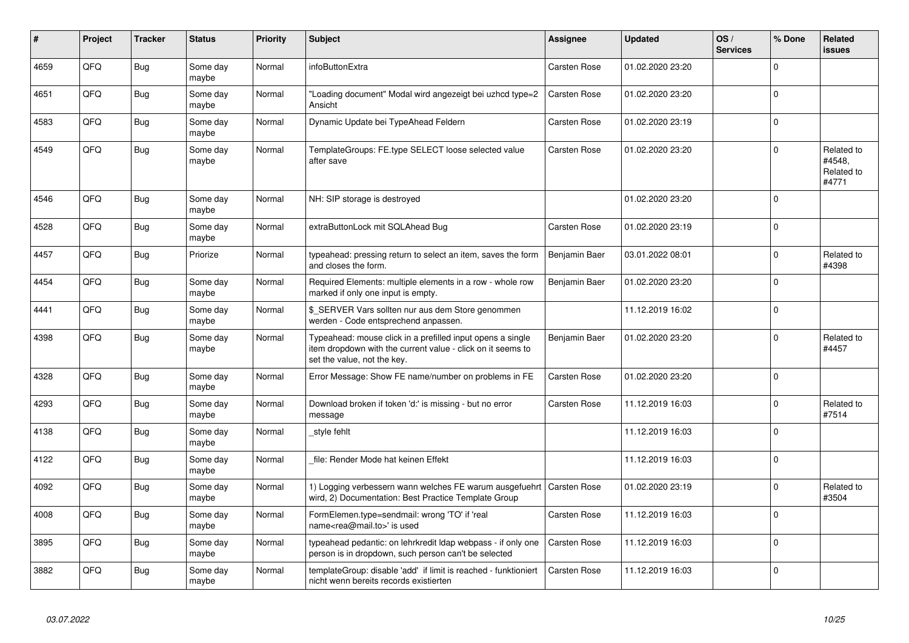| #    | Project | <b>Tracker</b> | <b>Status</b>     | <b>Priority</b> | <b>Subject</b>                                                                                                                                           | Assignee            | <b>Updated</b>   | OS/<br><b>Services</b> | % Done      | Related<br><b>issues</b>                    |
|------|---------|----------------|-------------------|-----------------|----------------------------------------------------------------------------------------------------------------------------------------------------------|---------------------|------------------|------------------------|-------------|---------------------------------------------|
| 4659 | QFQ     | Bug            | Some day<br>maybe | Normal          | <b>infoButtonExtra</b>                                                                                                                                   | <b>Carsten Rose</b> | 01.02.2020 23:20 |                        | $\Omega$    |                                             |
| 4651 | QFQ     | Bug            | Some day<br>maybe | Normal          | "Loading document" Modal wird angezeigt bei uzhcd type=2<br>Ansicht                                                                                      | <b>Carsten Rose</b> | 01.02.2020 23:20 |                        | $\mathbf 0$ |                                             |
| 4583 | QFQ     | <b>Bug</b>     | Some day<br>maybe | Normal          | Dynamic Update bei TypeAhead Feldern                                                                                                                     | <b>Carsten Rose</b> | 01.02.2020 23:19 |                        | $\mathbf 0$ |                                             |
| 4549 | QFQ     | Bug            | Some day<br>maybe | Normal          | TemplateGroups: FE.type SELECT loose selected value<br>after save                                                                                        | Carsten Rose        | 01.02.2020 23:20 |                        | $\Omega$    | Related to<br>#4548,<br>Related to<br>#4771 |
| 4546 | QFQ     | Bug            | Some day<br>maybe | Normal          | NH: SIP storage is destroyed                                                                                                                             |                     | 01.02.2020 23:20 |                        | $\mathbf 0$ |                                             |
| 4528 | QFQ     | Bug            | Some day<br>maybe | Normal          | extraButtonLock mit SQLAhead Bug                                                                                                                         | Carsten Rose        | 01.02.2020 23:19 |                        | $\mathbf 0$ |                                             |
| 4457 | QFQ     | Bug            | Priorize          | Normal          | typeahead: pressing return to select an item, saves the form<br>and closes the form.                                                                     | Benjamin Baer       | 03.01.2022 08:01 |                        | $\mathbf 0$ | Related to<br>#4398                         |
| 4454 | QFQ     | Bug            | Some day<br>maybe | Normal          | Required Elements: multiple elements in a row - whole row<br>marked if only one input is empty.                                                          | Benjamin Baer       | 01.02.2020 23:20 |                        | $\Omega$    |                                             |
| 4441 | QFQ     | Bug            | Some day<br>maybe | Normal          | \$ SERVER Vars sollten nur aus dem Store genommen<br>werden - Code entsprechend anpassen.                                                                |                     | 11.12.2019 16:02 |                        | $\mathbf 0$ |                                             |
| 4398 | QFQ     | Bug            | Some day<br>maybe | Normal          | Typeahead: mouse click in a prefilled input opens a single<br>item dropdown with the current value - click on it seems to<br>set the value, not the key. | Benjamin Baer       | 01.02.2020 23:20 |                        | $\Omega$    | Related to<br>#4457                         |
| 4328 | QFQ     | Bug            | Some day<br>maybe | Normal          | Error Message: Show FE name/number on problems in FE                                                                                                     | <b>Carsten Rose</b> | 01.02.2020 23:20 |                        | $\mathbf 0$ |                                             |
| 4293 | QFQ     | Bug            | Some day<br>maybe | Normal          | Download broken if token 'd:' is missing - but no error<br>message                                                                                       | <b>Carsten Rose</b> | 11.12.2019 16:03 |                        | $\mathbf 0$ | Related to<br>#7514                         |
| 4138 | QFQ     | <b>Bug</b>     | Some day<br>maybe | Normal          | style fehlt                                                                                                                                              |                     | 11.12.2019 16:03 |                        | $\Omega$    |                                             |
| 4122 | QFQ     | Bug            | Some day<br>maybe | Normal          | file: Render Mode hat keinen Effekt                                                                                                                      |                     | 11.12.2019 16:03 |                        | $\Omega$    |                                             |
| 4092 | QFQ     | Bug            | Some day<br>maybe | Normal          | 1) Logging verbessern wann welches FE warum ausgefuehrt   Carsten Rose<br>wird, 2) Documentation: Best Practice Template Group                           |                     | 01.02.2020 23:19 |                        | $\mathbf 0$ | Related to<br>#3504                         |
| 4008 | QFQ     | Bug            | Some day<br>maybe | Normal          | FormElemen.type=sendmail: wrong 'TO' if 'real<br>name <rea@mail.to>' is used</rea@mail.to>                                                               | Carsten Rose        | 11.12.2019 16:03 |                        | $\mathbf 0$ |                                             |
| 3895 | QFQ     | Bug            | Some day<br>maybe | Normal          | typeahead pedantic: on lehrkredit Idap webpass - if only one<br>person is in dropdown, such person can't be selected                                     | <b>Carsten Rose</b> | 11.12.2019 16:03 |                        | $\mathbf 0$ |                                             |
| 3882 | QFQ     | Bug            | Some day<br>maybe | Normal          | templateGroup: disable 'add' if limit is reached - funktioniert<br>nicht wenn bereits records existierten                                                | <b>Carsten Rose</b> | 11.12.2019 16:03 |                        | $\Omega$    |                                             |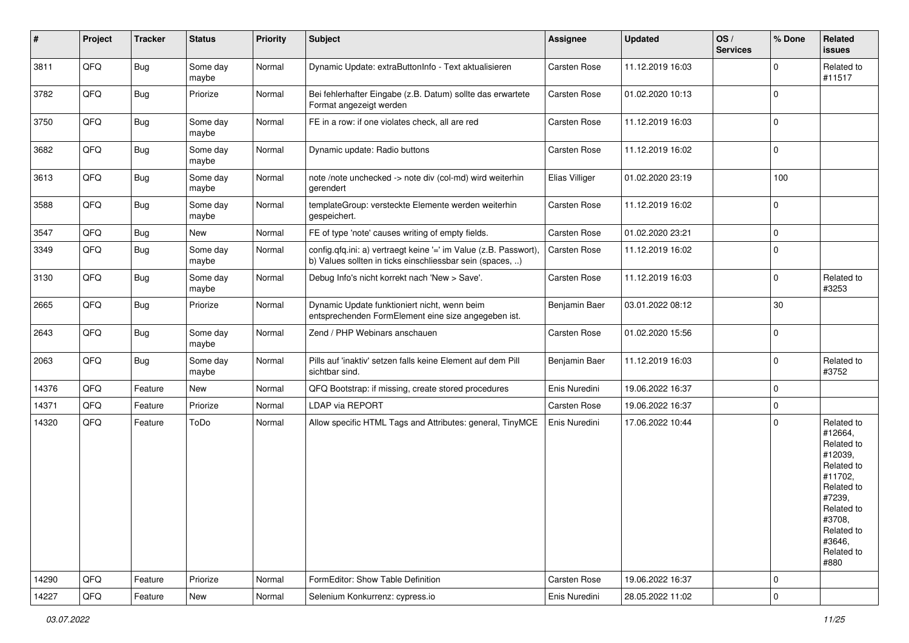| #     | Project | <b>Tracker</b> | <b>Status</b>     | <b>Priority</b> | Subject                                                                                                                       | <b>Assignee</b>     | <b>Updated</b>   | OS/<br><b>Services</b> | % Done              | Related<br><b>issues</b>                                                                                                                                              |
|-------|---------|----------------|-------------------|-----------------|-------------------------------------------------------------------------------------------------------------------------------|---------------------|------------------|------------------------|---------------------|-----------------------------------------------------------------------------------------------------------------------------------------------------------------------|
| 3811  | QFQ     | Bug            | Some day<br>maybe | Normal          | Dynamic Update: extraButtonInfo - Text aktualisieren                                                                          | Carsten Rose        | 11.12.2019 16:03 |                        | $\mathbf 0$         | Related to<br>#11517                                                                                                                                                  |
| 3782  | QFQ     | Bug            | Priorize          | Normal          | Bei fehlerhafter Eingabe (z.B. Datum) sollte das erwartete<br>Format angezeigt werden                                         | Carsten Rose        | 01.02.2020 10:13 |                        | $\mathbf 0$         |                                                                                                                                                                       |
| 3750  | QFQ     | <b>Bug</b>     | Some day<br>maybe | Normal          | FE in a row: if one violates check, all are red                                                                               | Carsten Rose        | 11.12.2019 16:03 |                        | $\mathbf 0$         |                                                                                                                                                                       |
| 3682  | QFQ     | Bug            | Some day<br>maybe | Normal          | Dynamic update: Radio buttons                                                                                                 | <b>Carsten Rose</b> | 11.12.2019 16:02 |                        | $\mathbf 0$         |                                                                                                                                                                       |
| 3613  | QFQ     | <b>Bug</b>     | Some day<br>maybe | Normal          | note /note unchecked -> note div (col-md) wird weiterhin<br>gerendert                                                         | Elias Villiger      | 01.02.2020 23:19 |                        | 100                 |                                                                                                                                                                       |
| 3588  | QFQ     | Bug            | Some day<br>maybe | Normal          | templateGroup: versteckte Elemente werden weiterhin<br>gespeichert.                                                           | Carsten Rose        | 11.12.2019 16:02 |                        | $\mathbf 0$         |                                                                                                                                                                       |
| 3547  | QFQ     | Bug            | New               | Normal          | FE of type 'note' causes writing of empty fields.                                                                             | Carsten Rose        | 01.02.2020 23:21 |                        | $\mathbf 0$         |                                                                                                                                                                       |
| 3349  | QFQ     | Bug            | Some day<br>maybe | Normal          | config.qfq.ini: a) vertraegt keine '=' im Value (z.B. Passwort),<br>b) Values sollten in ticks einschliessbar sein (spaces, ) | Carsten Rose        | 11.12.2019 16:02 |                        | $\mathbf 0$         |                                                                                                                                                                       |
| 3130  | QFQ     | <b>Bug</b>     | Some day<br>maybe | Normal          | Debug Info's nicht korrekt nach 'New > Save'.                                                                                 | Carsten Rose        | 11.12.2019 16:03 |                        | 0                   | Related to<br>#3253                                                                                                                                                   |
| 2665  | QFQ     | Bug            | Priorize          | Normal          | Dynamic Update funktioniert nicht, wenn beim<br>entsprechenden FormElement eine size angegeben ist.                           | Benjamin Baer       | 03.01.2022 08:12 |                        | 30                  |                                                                                                                                                                       |
| 2643  | QFQ     | Bug            | Some day<br>maybe | Normal          | Zend / PHP Webinars anschauen                                                                                                 | Carsten Rose        | 01.02.2020 15:56 |                        | $\mathbf 0$         |                                                                                                                                                                       |
| 2063  | QFQ     | Bug            | Some day<br>maybe | Normal          | Pills auf 'inaktiv' setzen falls keine Element auf dem Pill<br>sichtbar sind.                                                 | Benjamin Baer       | 11.12.2019 16:03 |                        | $\mathbf 0$         | Related to<br>#3752                                                                                                                                                   |
| 14376 | QFQ     | Feature        | New               | Normal          | QFQ Bootstrap: if missing, create stored procedures                                                                           | Enis Nuredini       | 19.06.2022 16:37 |                        | $\mathbf 0$         |                                                                                                                                                                       |
| 14371 | QFQ     | Feature        | Priorize          | Normal          | <b>LDAP via REPORT</b>                                                                                                        | Carsten Rose        | 19.06.2022 16:37 |                        | $\mathbf 0$         |                                                                                                                                                                       |
| 14320 | QFQ     | Feature        | ToDo              | Normal          | Allow specific HTML Tags and Attributes: general, TinyMCE                                                                     | Enis Nuredini       | 17.06.2022 10:44 |                        | $\mathbf 0$         | Related to<br>#12664,<br>Related to<br>#12039,<br>Related to<br>#11702,<br>Related to<br>#7239,<br>Related to<br>#3708,<br>Related to<br>#3646,<br>Related to<br>#880 |
| 14290 | QFQ     | Feature        | Priorize          | Normal          | FormEditor: Show Table Definition                                                                                             | Carsten Rose        | 19.06.2022 16:37 |                        | $\mathsf 0$         |                                                                                                                                                                       |
| 14227 | QFQ     | Feature        | New               | Normal          | Selenium Konkurrenz: cypress.io                                                                                               | Enis Nuredini       | 28.05.2022 11:02 |                        | $\mathsf{O}\xspace$ |                                                                                                                                                                       |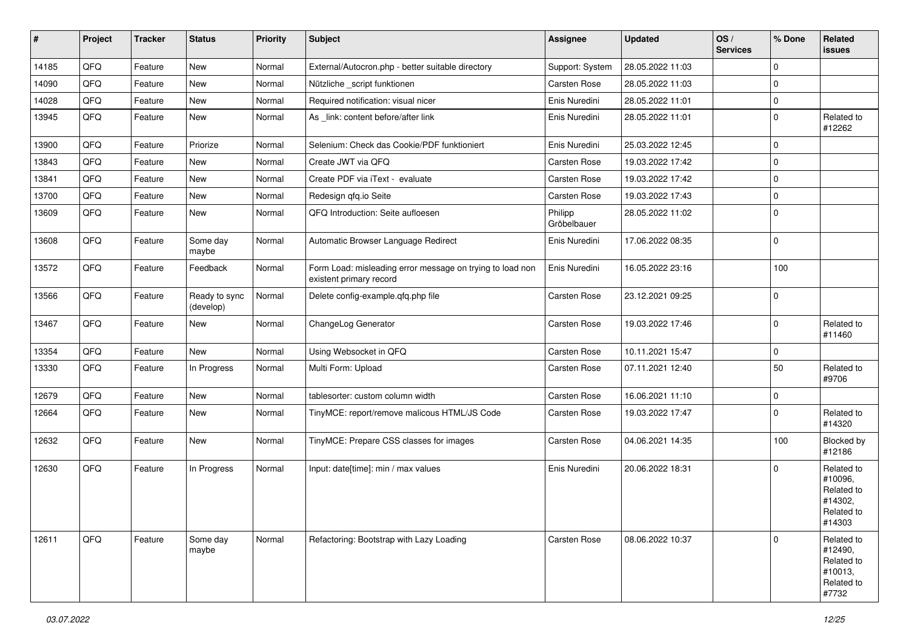| #     | Project | <b>Tracker</b> | <b>Status</b>              | <b>Priority</b> | <b>Subject</b>                                                                       | Assignee               | <b>Updated</b>   | OS/<br><b>Services</b> | % Done      | Related<br>issues                                                      |
|-------|---------|----------------|----------------------------|-----------------|--------------------------------------------------------------------------------------|------------------------|------------------|------------------------|-------------|------------------------------------------------------------------------|
| 14185 | QFQ     | Feature        | <b>New</b>                 | Normal          | External/Autocron.php - better suitable directory                                    | Support: System        | 28.05.2022 11:03 |                        | $\mathbf 0$ |                                                                        |
| 14090 | QFQ     | Feature        | <b>New</b>                 | Normal          | Nützliche _script funktionen                                                         | Carsten Rose           | 28.05.2022 11:03 |                        | $\mathbf 0$ |                                                                        |
| 14028 | QFQ     | Feature        | <b>New</b>                 | Normal          | Required notification: visual nicer                                                  | Enis Nuredini          | 28.05.2022 11:01 |                        | $\mathbf 0$ |                                                                        |
| 13945 | QFQ     | Feature        | <b>New</b>                 | Normal          | As _link: content before/after link                                                  | Enis Nuredini          | 28.05.2022 11:01 |                        | $\mathbf 0$ | Related to<br>#12262                                                   |
| 13900 | QFQ     | Feature        | Priorize                   | Normal          | Selenium: Check das Cookie/PDF funktioniert                                          | Enis Nuredini          | 25.03.2022 12:45 |                        | $\mathbf 0$ |                                                                        |
| 13843 | QFQ     | Feature        | New                        | Normal          | Create JWT via QFQ                                                                   | <b>Carsten Rose</b>    | 19.03.2022 17:42 |                        | $\pmb{0}$   |                                                                        |
| 13841 | QFQ     | Feature        | New                        | Normal          | Create PDF via iText - evaluate                                                      | Carsten Rose           | 19.03.2022 17:42 |                        | $\mathbf 0$ |                                                                        |
| 13700 | QFQ     | Feature        | <b>New</b>                 | Normal          | Redesign qfq.io Seite                                                                | Carsten Rose           | 19.03.2022 17:43 |                        | $\mathbf 0$ |                                                                        |
| 13609 | QFQ     | Feature        | New                        | Normal          | QFQ Introduction: Seite aufloesen                                                    | Philipp<br>Gröbelbauer | 28.05.2022 11:02 |                        | $\mathbf 0$ |                                                                        |
| 13608 | QFQ     | Feature        | Some day<br>maybe          | Normal          | Automatic Browser Language Redirect                                                  | Enis Nuredini          | 17.06.2022 08:35 |                        | $\mathbf 0$ |                                                                        |
| 13572 | QFQ     | Feature        | Feedback                   | Normal          | Form Load: misleading error message on trying to load non<br>existent primary record | Enis Nuredini          | 16.05.2022 23:16 |                        | 100         |                                                                        |
| 13566 | QFQ     | Feature        | Ready to sync<br>(develop) | Normal          | Delete config-example.qfq.php file                                                   | Carsten Rose           | 23.12.2021 09:25 |                        | $\mathbf 0$ |                                                                        |
| 13467 | QFQ     | Feature        | <b>New</b>                 | Normal          | ChangeLog Generator                                                                  | Carsten Rose           | 19.03.2022 17:46 |                        | $\mathbf 0$ | Related to<br>#11460                                                   |
| 13354 | QFQ     | Feature        | <b>New</b>                 | Normal          | Using Websocket in QFQ                                                               | Carsten Rose           | 10.11.2021 15:47 |                        | $\mathbf 0$ |                                                                        |
| 13330 | QFQ     | Feature        | In Progress                | Normal          | Multi Form: Upload                                                                   | Carsten Rose           | 07.11.2021 12:40 |                        | 50          | Related to<br>#9706                                                    |
| 12679 | QFQ     | Feature        | New                        | Normal          | tablesorter: custom column width                                                     | Carsten Rose           | 16.06.2021 11:10 |                        | $\mathbf 0$ |                                                                        |
| 12664 | QFQ     | Feature        | New                        | Normal          | TinyMCE: report/remove malicous HTML/JS Code                                         | Carsten Rose           | 19.03.2022 17:47 |                        | $\mathbf 0$ | Related to<br>#14320                                                   |
| 12632 | QFQ     | Feature        | <b>New</b>                 | Normal          | TinyMCE: Prepare CSS classes for images                                              | Carsten Rose           | 04.06.2021 14:35 |                        | 100         | Blocked by<br>#12186                                                   |
| 12630 | QFQ     | Feature        | In Progress                | Normal          | Input: date[time]: min / max values                                                  | Enis Nuredini          | 20.06.2022 18:31 |                        | $\mathbf 0$ | Related to<br>#10096,<br>Related to<br>#14302,<br>Related to<br>#14303 |
| 12611 | QFQ     | Feature        | Some day<br>maybe          | Normal          | Refactoring: Bootstrap with Lazy Loading                                             | Carsten Rose           | 08.06.2022 10:37 |                        | $\mathbf 0$ | Related to<br>#12490,<br>Related to<br>#10013,<br>Related to<br>#7732  |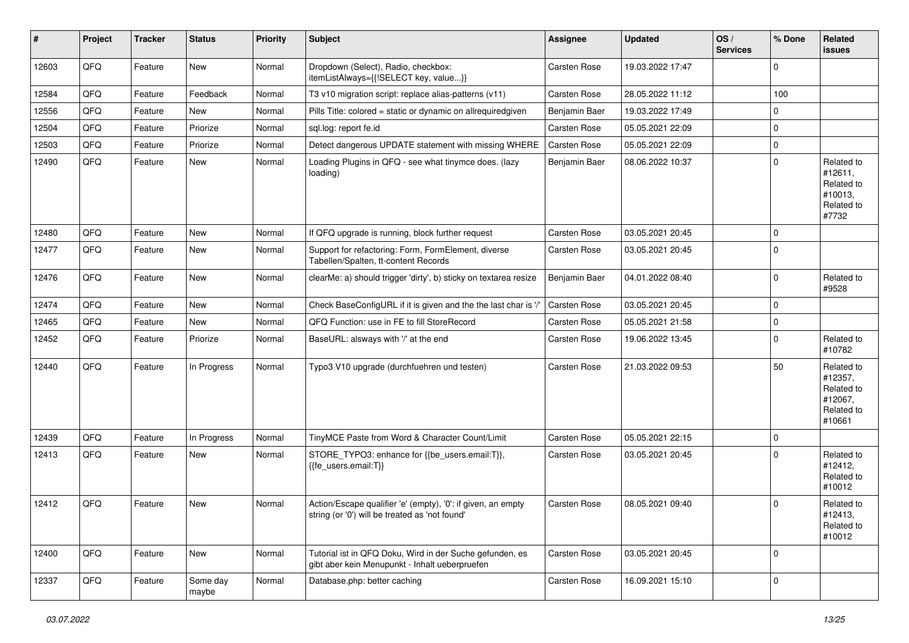| #     | Project | <b>Tracker</b> | <b>Status</b>     | <b>Priority</b> | <b>Subject</b>                                                                                                 | <b>Assignee</b> | <b>Updated</b>   | OS/<br><b>Services</b> | % Done      | Related<br>issues                                                      |
|-------|---------|----------------|-------------------|-----------------|----------------------------------------------------------------------------------------------------------------|-----------------|------------------|------------------------|-------------|------------------------------------------------------------------------|
| 12603 | QFQ     | Feature        | <b>New</b>        | Normal          | Dropdown (Select), Radio, checkbox:<br>itemListAlways={{!SELECT key, value}}                                   | Carsten Rose    | 19.03.2022 17:47 |                        | 0           |                                                                        |
| 12584 | QFQ     | Feature        | Feedback          | Normal          | T3 v10 migration script: replace alias-patterns (v11)                                                          | Carsten Rose    | 28.05.2022 11:12 |                        | 100         |                                                                        |
| 12556 | QFQ     | Feature        | <b>New</b>        | Normal          | Pills Title: colored = static or dynamic on allrequiredgiven                                                   | Benjamin Baer   | 19.03.2022 17:49 |                        | 0           |                                                                        |
| 12504 | QFQ     | Feature        | Priorize          | Normal          | sql.log: report fe.id                                                                                          | Carsten Rose    | 05.05.2021 22:09 |                        | $\mathbf 0$ |                                                                        |
| 12503 | QFQ     | Feature        | Priorize          | Normal          | Detect dangerous UPDATE statement with missing WHERE                                                           | Carsten Rose    | 05.05.2021 22:09 |                        | $\pmb{0}$   |                                                                        |
| 12490 | QFQ     | Feature        | New               | Normal          | Loading Plugins in QFQ - see what tinymce does. (lazy<br>loading)                                              | Benjamin Baer   | 08.06.2022 10:37 |                        | $\mathbf 0$ | Related to<br>#12611,<br>Related to<br>#10013,<br>Related to<br>#7732  |
| 12480 | QFQ     | Feature        | <b>New</b>        | Normal          | If QFQ upgrade is running, block further request                                                               | Carsten Rose    | 03.05.2021 20:45 |                        | $\mathbf 0$ |                                                                        |
| 12477 | QFQ     | Feature        | New               | Normal          | Support for refactoring: Form, FormElement, diverse<br>Tabellen/Spalten, tt-content Records                    | Carsten Rose    | 03.05.2021 20:45 |                        | $\Omega$    |                                                                        |
| 12476 | QFQ     | Feature        | New               | Normal          | clearMe: a) should trigger 'dirty', b) sticky on textarea resize                                               | Benjamin Baer   | 04.01.2022 08:40 |                        | $\mathbf 0$ | Related to<br>#9528                                                    |
| 12474 | QFQ     | Feature        | <b>New</b>        | Normal          | Check BaseConfigURL if it is given and the the last char is '/'                                                | Carsten Rose    | 03.05.2021 20:45 |                        | $\mathbf 0$ |                                                                        |
| 12465 | QFQ     | Feature        | New               | Normal          | QFQ Function: use in FE to fill StoreRecord                                                                    | Carsten Rose    | 05.05.2021 21:58 |                        | 0           |                                                                        |
| 12452 | QFQ     | Feature        | Priorize          | Normal          | BaseURL: alsways with '/' at the end                                                                           | Carsten Rose    | 19.06.2022 13:45 |                        | $\mathbf 0$ | Related to<br>#10782                                                   |
| 12440 | QFQ     | Feature        | In Progress       | Normal          | Typo3 V10 upgrade (durchfuehren und testen)                                                                    | Carsten Rose    | 21.03.2022 09:53 |                        | 50          | Related to<br>#12357,<br>Related to<br>#12067,<br>Related to<br>#10661 |
| 12439 | QFQ     | Feature        | In Progress       | Normal          | TinyMCE Paste from Word & Character Count/Limit                                                                | Carsten Rose    | 05.05.2021 22:15 |                        | 0           |                                                                        |
| 12413 | QFQ     | Feature        | New               | Normal          | STORE_TYPO3: enhance for {{be_users.email:T}},<br>{{fe_users.email:T}}                                         | Carsten Rose    | 03.05.2021 20:45 |                        | $\Omega$    | Related to<br>#12412,<br>Related to<br>#10012                          |
| 12412 | QFQ     | Feature        | <b>New</b>        | Normal          | Action/Escape qualifier 'e' (empty), '0': if given, an empty<br>string (or '0') will be treated as 'not found' | Carsten Rose    | 08.05.2021 09:40 |                        | $\Omega$    | Related to<br>#12413,<br>Related to<br>#10012                          |
| 12400 | QFQ     | Feature        | New               | Normal          | Tutorial ist in QFQ Doku, Wird in der Suche gefunden, es<br>gibt aber kein Menupunkt - Inhalt ueberpruefen     | Carsten Rose    | 03.05.2021 20:45 |                        | $\mathbf 0$ |                                                                        |
| 12337 | QFQ     | Feature        | Some day<br>maybe | Normal          | Database.php: better caching                                                                                   | Carsten Rose    | 16.09.2021 15:10 |                        | $\mathbf 0$ |                                                                        |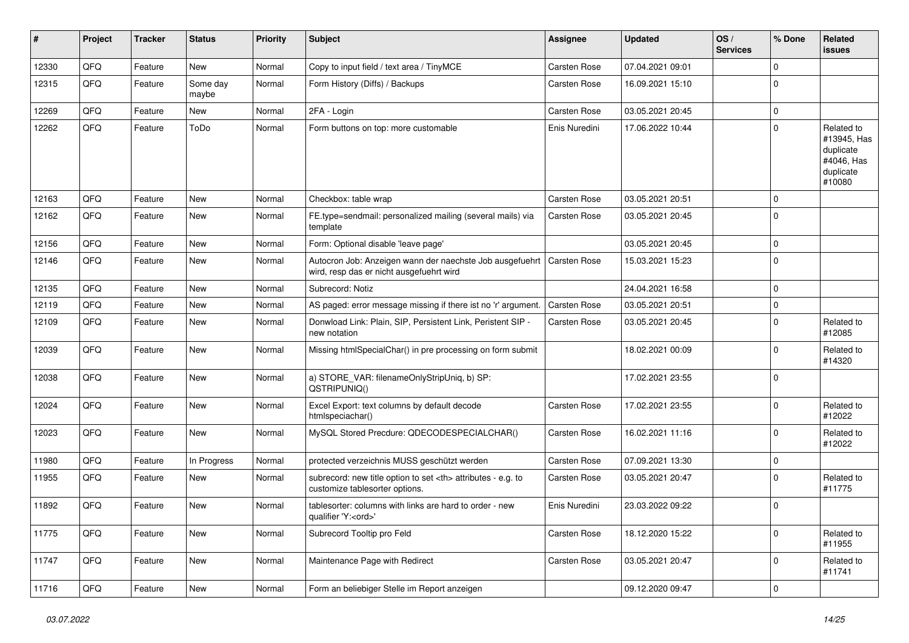| #     | Project | <b>Tracker</b> | <b>Status</b>     | <b>Priority</b> | <b>Subject</b>                                                                                       | Assignee                                               | <b>Updated</b>   | OS/<br><b>Services</b> | % Done      | Related<br><b>issues</b>                                                    |                      |
|-------|---------|----------------|-------------------|-----------------|------------------------------------------------------------------------------------------------------|--------------------------------------------------------|------------------|------------------------|-------------|-----------------------------------------------------------------------------|----------------------|
| 12330 | QFQ     | Feature        | New               | Normal          | Copy to input field / text area / TinyMCE                                                            | Carsten Rose                                           | 07.04.2021 09:01 |                        | $\mathbf 0$ |                                                                             |                      |
| 12315 | QFQ     | Feature        | Some day<br>maybe | Normal          | Form History (Diffs) / Backups                                                                       | Carsten Rose                                           | 16.09.2021 15:10 |                        | $\Omega$    |                                                                             |                      |
| 12269 | QFQ     | Feature        | New               | Normal          | 2FA - Login                                                                                          | Carsten Rose                                           | 03.05.2021 20:45 |                        | $\pmb{0}$   |                                                                             |                      |
| 12262 | QFQ     | Feature        | ToDo              | Normal          | Form buttons on top: more customable                                                                 | Enis Nuredini                                          | 17.06.2022 10:44 |                        | $\Omega$    | Related to<br>#13945, Has<br>duplicate<br>#4046, Has<br>duplicate<br>#10080 |                      |
| 12163 | QFQ     | Feature        | <b>New</b>        | Normal          | Checkbox: table wrap                                                                                 | Carsten Rose                                           | 03.05.2021 20:51 |                        | $\mathbf 0$ |                                                                             |                      |
| 12162 | QFQ     | Feature        | New               | Normal          | FE.type=sendmail: personalized mailing (several mails) via<br>template                               | Carsten Rose                                           | 03.05.2021 20:45 |                        | $\Omega$    |                                                                             |                      |
| 12156 | QFQ     | Feature        | <b>New</b>        | Normal          | Form: Optional disable 'leave page'                                                                  |                                                        | 03.05.2021 20:45 |                        | $\pmb{0}$   |                                                                             |                      |
| 12146 | QFQ     | Feature        | New               | Normal          | Autocron Job: Anzeigen wann der naechste Job ausgefuehrt<br>wird, resp das er nicht ausgefuehrt wird | <b>Carsten Rose</b>                                    | 15.03.2021 15:23 |                        | $\mathbf 0$ |                                                                             |                      |
| 12135 | QFQ     | Feature        | New               | Normal          | Subrecord: Notiz                                                                                     |                                                        | 24.04.2021 16:58 |                        | $\pmb{0}$   |                                                                             |                      |
| 12119 | QFQ     | Feature        | New               | Normal          | AS paged: error message missing if there ist no 'r' argument.                                        | Carsten Rose                                           | 03.05.2021 20:51 |                        | $\pmb{0}$   |                                                                             |                      |
| 12109 | QFQ     | Feature        | New               | Normal          | Donwload Link: Plain, SIP, Persistent Link, Peristent SIP -<br>new notation                          | Carsten Rose                                           | 03.05.2021 20:45 |                        | $\Omega$    | Related to<br>#12085                                                        |                      |
| 12039 | QFQ     | Feature        | New               | Normal          | Missing htmlSpecialChar() in pre processing on form submit                                           |                                                        | 18.02.2021 00:09 |                        | $\mathbf 0$ | Related to<br>#14320                                                        |                      |
| 12038 | QFQ     | Feature        | <b>New</b>        | Normal          | a) STORE_VAR: filenameOnlyStripUniq, b) SP:<br>QSTRIPUNIQ()                                          |                                                        | 17.02.2021 23:55 |                        | $\mathbf 0$ |                                                                             |                      |
| 12024 | QFQ     | Feature        | New               | Normal          | Excel Export: text columns by default decode<br>htmlspeciachar()                                     | Carsten Rose                                           | 17.02.2021 23:55 |                        | $\pmb{0}$   | Related to<br>#12022                                                        |                      |
| 12023 | QFQ     | Feature        | New               | Normal          | MySQL Stored Precdure: QDECODESPECIALCHAR()                                                          | Carsten Rose                                           | 16.02.2021 11:16 |                        | $\mathbf 0$ | Related to<br>#12022                                                        |                      |
| 11980 | QFQ     | Feature        | In Progress       | Normal          | protected verzeichnis MUSS geschützt werden                                                          | Carsten Rose                                           | 07.09.2021 13:30 |                        | $\pmb{0}$   |                                                                             |                      |
| 11955 | QFQ     | Feature        | New               | Normal          | subrecord: new title option to set <th> attributes - e.g. to<br/>customize tablesorter options.</th> | attributes - e.g. to<br>customize tablesorter options. | Carsten Rose     | 03.05.2021 20:47       |             | $\mathbf 0$                                                                 | Related to<br>#11775 |
| 11892 | QFQ     | Feature        | New               | Normal          | tablesorter: columns with links are hard to order - new<br>qualifier 'Y: <ord>'</ord>                | Enis Nuredini                                          | 23.03.2022 09:22 |                        | $\mathbf 0$ |                                                                             |                      |
| 11775 | QFQ     | Feature        | New               | Normal          | Subrecord Tooltip pro Feld                                                                           | Carsten Rose                                           | 18.12.2020 15:22 |                        | $\pmb{0}$   | Related to<br>#11955                                                        |                      |
| 11747 | QFQ     | Feature        | New               | Normal          | Maintenance Page with Redirect                                                                       | Carsten Rose                                           | 03.05.2021 20:47 |                        | $\mathbf 0$ | Related to<br>#11741                                                        |                      |
| 11716 | QFQ     | Feature        | New               | Normal          | Form an beliebiger Stelle im Report anzeigen                                                         |                                                        | 09.12.2020 09:47 |                        | 0           |                                                                             |                      |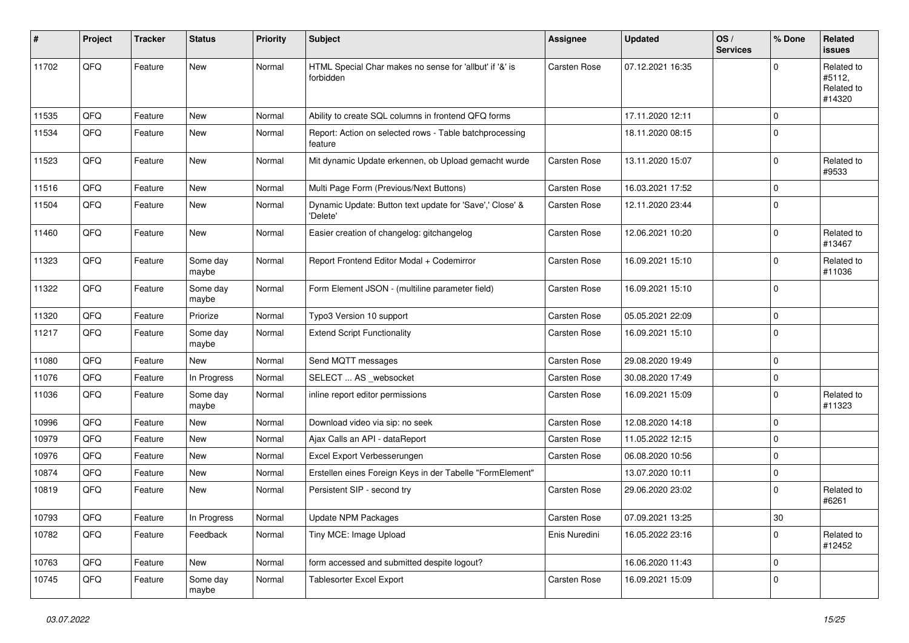| #     | Project | <b>Tracker</b> | <b>Status</b>     | <b>Priority</b> | <b>Subject</b>                                                       | Assignee            | <b>Updated</b>   | OS/<br><b>Services</b> | % Done      | Related<br><b>issues</b>                     |
|-------|---------|----------------|-------------------|-----------------|----------------------------------------------------------------------|---------------------|------------------|------------------------|-------------|----------------------------------------------|
| 11702 | QFQ     | Feature        | <b>New</b>        | Normal          | HTML Special Char makes no sense for 'allbut' if '&' is<br>forbidden | Carsten Rose        | 07.12.2021 16:35 |                        | $\Omega$    | Related to<br>#5112,<br>Related to<br>#14320 |
| 11535 | QFQ     | Feature        | <b>New</b>        | Normal          | Ability to create SQL columns in frontend QFQ forms                  |                     | 17.11.2020 12:11 |                        | $\mathbf 0$ |                                              |
| 11534 | QFQ     | Feature        | <b>New</b>        | Normal          | Report: Action on selected rows - Table batchprocessing<br>feature   |                     | 18.11.2020 08:15 |                        | $\mathbf 0$ |                                              |
| 11523 | QFQ     | Feature        | <b>New</b>        | Normal          | Mit dynamic Update erkennen, ob Upload gemacht wurde                 | <b>Carsten Rose</b> | 13.11.2020 15:07 |                        | $\mathbf 0$ | Related to<br>#9533                          |
| 11516 | QFQ     | Feature        | <b>New</b>        | Normal          | Multi Page Form (Previous/Next Buttons)                              | Carsten Rose        | 16.03.2021 17:52 |                        | $\pmb{0}$   |                                              |
| 11504 | QFQ     | Feature        | <b>New</b>        | Normal          | Dynamic Update: Button text update for 'Save',' Close' &<br>'Delete' | <b>Carsten Rose</b> | 12.11.2020 23:44 |                        | $\mathbf 0$ |                                              |
| 11460 | QFQ     | Feature        | <b>New</b>        | Normal          | Easier creation of changelog: gitchangelog                           | <b>Carsten Rose</b> | 12.06.2021 10:20 |                        | $\Omega$    | Related to<br>#13467                         |
| 11323 | QFQ     | Feature        | Some day<br>maybe | Normal          | Report Frontend Editor Modal + Codemirror                            | Carsten Rose        | 16.09.2021 15:10 |                        | $\mathbf 0$ | Related to<br>#11036                         |
| 11322 | QFQ     | Feature        | Some day<br>maybe | Normal          | Form Element JSON - (multiline parameter field)                      | Carsten Rose        | 16.09.2021 15:10 |                        | $\Omega$    |                                              |
| 11320 | QFQ     | Feature        | Priorize          | Normal          | Typo3 Version 10 support                                             | Carsten Rose        | 05.05.2021 22:09 |                        | $\mathbf 0$ |                                              |
| 11217 | QFQ     | Feature        | Some day<br>maybe | Normal          | <b>Extend Script Functionality</b>                                   | Carsten Rose        | 16.09.2021 15:10 |                        | $\mathbf 0$ |                                              |
| 11080 | QFQ     | Feature        | <b>New</b>        | Normal          | Send MQTT messages                                                   | <b>Carsten Rose</b> | 29.08.2020 19:49 |                        | $\mathbf 0$ |                                              |
| 11076 | QFQ     | Feature        | In Progress       | Normal          | SELECT  AS _websocket                                                | Carsten Rose        | 30.08.2020 17:49 |                        | $\pmb{0}$   |                                              |
| 11036 | QFQ     | Feature        | Some day<br>maybe | Normal          | inline report editor permissions                                     | Carsten Rose        | 16.09.2021 15:09 |                        | $\mathbf 0$ | Related to<br>#11323                         |
| 10996 | QFQ     | Feature        | <b>New</b>        | Normal          | Download video via sip: no seek                                      | Carsten Rose        | 12.08.2020 14:18 |                        | $\mathbf 0$ |                                              |
| 10979 | QFQ     | Feature        | New               | Normal          | Ajax Calls an API - dataReport                                       | Carsten Rose        | 11.05.2022 12:15 |                        | $\mathbf 0$ |                                              |
| 10976 | QFQ     | Feature        | <b>New</b>        | Normal          | Excel Export Verbesserungen                                          | Carsten Rose        | 06.08.2020 10:56 |                        | $\mathbf 0$ |                                              |
| 10874 | QFQ     | Feature        | <b>New</b>        | Normal          | Erstellen eines Foreign Keys in der Tabelle "FormElement"            |                     | 13.07.2020 10:11 |                        | $\mathbf 0$ |                                              |
| 10819 | QFQ     | Feature        | <b>New</b>        | Normal          | Persistent SIP - second try                                          | <b>Carsten Rose</b> | 29.06.2020 23:02 |                        | $\mathbf 0$ | Related to<br>#6261                          |
| 10793 | QFQ     | Feature        | In Progress       | Normal          | Update NPM Packages                                                  | Carsten Rose        | 07.09.2021 13:25 |                        | 30          |                                              |
| 10782 | QFQ     | Feature        | Feedback          | Normal          | Tiny MCE: Image Upload                                               | Enis Nuredini       | 16.05.2022 23:16 |                        | $\Omega$    | Related to<br>#12452                         |
| 10763 | QFQ     | Feature        | <b>New</b>        | Normal          | form accessed and submitted despite logout?                          |                     | 16.06.2020 11:43 |                        | $\pmb{0}$   |                                              |
| 10745 | QFQ     | Feature        | Some day<br>maybe | Normal          | Tablesorter Excel Export                                             | <b>Carsten Rose</b> | 16.09.2021 15:09 |                        | $\mathbf 0$ |                                              |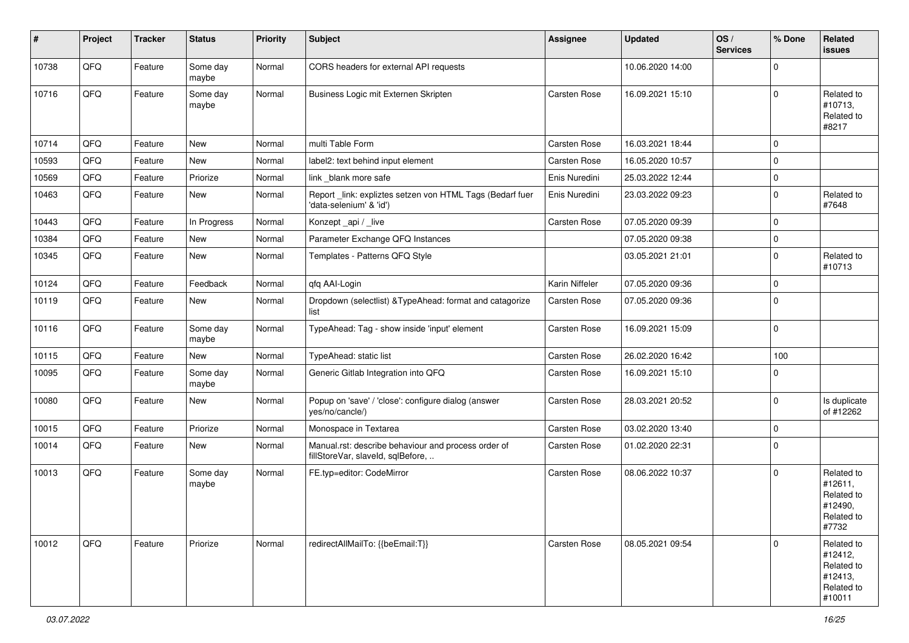| #     | Project | <b>Tracker</b> | <b>Status</b>     | <b>Priority</b> | <b>Subject</b>                                                                           | Assignee            | <b>Updated</b>   | OS/<br><b>Services</b> | % Done      | Related<br>issues                                                      |
|-------|---------|----------------|-------------------|-----------------|------------------------------------------------------------------------------------------|---------------------|------------------|------------------------|-------------|------------------------------------------------------------------------|
| 10738 | QFQ     | Feature        | Some day<br>maybe | Normal          | CORS headers for external API requests                                                   |                     | 10.06.2020 14:00 |                        | $\mathbf 0$ |                                                                        |
| 10716 | QFQ     | Feature        | Some day<br>maybe | Normal          | Business Logic mit Externen Skripten                                                     | Carsten Rose        | 16.09.2021 15:10 |                        | $\mathbf 0$ | Related to<br>#10713,<br>Related to<br>#8217                           |
| 10714 | QFQ     | Feature        | New               | Normal          | multi Table Form                                                                         | Carsten Rose        | 16.03.2021 18:44 |                        | $\mathbf 0$ |                                                                        |
| 10593 | QFQ     | Feature        | New               | Normal          | label2: text behind input element                                                        | <b>Carsten Rose</b> | 16.05.2020 10:57 |                        | $\mathbf 0$ |                                                                        |
| 10569 | QFQ     | Feature        | Priorize          | Normal          | link _blank more safe                                                                    | Enis Nuredini       | 25.03.2022 12:44 |                        | $\mathbf 0$ |                                                                        |
| 10463 | QFQ     | Feature        | New               | Normal          | Report_link: expliztes setzen von HTML Tags (Bedarf fuer<br>'data-selenium' & 'id')      | Enis Nuredini       | 23.03.2022 09:23 |                        | $\pmb{0}$   | Related to<br>#7648                                                    |
| 10443 | QFQ     | Feature        | In Progress       | Normal          | Konzept_api / _live                                                                      | Carsten Rose        | 07.05.2020 09:39 |                        | $\mathbf 0$ |                                                                        |
| 10384 | QFQ     | Feature        | New               | Normal          | Parameter Exchange QFQ Instances                                                         |                     | 07.05.2020 09:38 |                        | $\pmb{0}$   |                                                                        |
| 10345 | QFQ     | Feature        | New               | Normal          | Templates - Patterns QFQ Style                                                           |                     | 03.05.2021 21:01 |                        | $\mathbf 0$ | Related to<br>#10713                                                   |
| 10124 | QFQ     | Feature        | Feedback          | Normal          | qfq AAI-Login                                                                            | Karin Niffeler      | 07.05.2020 09:36 |                        | $\mathbf 0$ |                                                                        |
| 10119 | QFQ     | Feature        | <b>New</b>        | Normal          | Dropdown (selectlist) & TypeAhead: format and catagorize<br>list                         | Carsten Rose        | 07.05.2020 09:36 |                        | $\mathbf 0$ |                                                                        |
| 10116 | QFQ     | Feature        | Some day<br>maybe | Normal          | TypeAhead: Tag - show inside 'input' element                                             | Carsten Rose        | 16.09.2021 15:09 |                        | $\mathbf 0$ |                                                                        |
| 10115 | QFQ     | Feature        | New               | Normal          | TypeAhead: static list                                                                   | Carsten Rose        | 26.02.2020 16:42 |                        | 100         |                                                                        |
| 10095 | QFQ     | Feature        | Some day<br>maybe | Normal          | Generic Gitlab Integration into QFQ                                                      | Carsten Rose        | 16.09.2021 15:10 |                        | $\mathbf 0$ |                                                                        |
| 10080 | QFQ     | Feature        | New               | Normal          | Popup on 'save' / 'close': configure dialog (answer<br>yes/no/cancle/)                   | Carsten Rose        | 28.03.2021 20:52 |                        | $\mathbf 0$ | Is duplicate<br>of #12262                                              |
| 10015 | QFQ     | Feature        | Priorize          | Normal          | Monospace in Textarea                                                                    | Carsten Rose        | 03.02.2020 13:40 |                        | $\mathbf 0$ |                                                                        |
| 10014 | QFQ     | Feature        | New               | Normal          | Manual.rst: describe behaviour and process order of<br>fillStoreVar, slaveId, sqlBefore, | Carsten Rose        | 01.02.2020 22:31 |                        | $\mathbf 0$ |                                                                        |
| 10013 | QFQ     | Feature        | Some day<br>maybe | Normal          | FE.typ=editor: CodeMirror                                                                | Carsten Rose        | 08.06.2022 10:37 |                        | $\mathbf 0$ | Related to<br>#12611,<br>Related to<br>#12490,<br>Related to<br>#7732  |
| 10012 | QFQ     | Feature        | Priorize          | Normal          | redirectAllMailTo: {{beEmail:T}}                                                         | Carsten Rose        | 08.05.2021 09:54 |                        | $\mathbf 0$ | Related to<br>#12412,<br>Related to<br>#12413,<br>Related to<br>#10011 |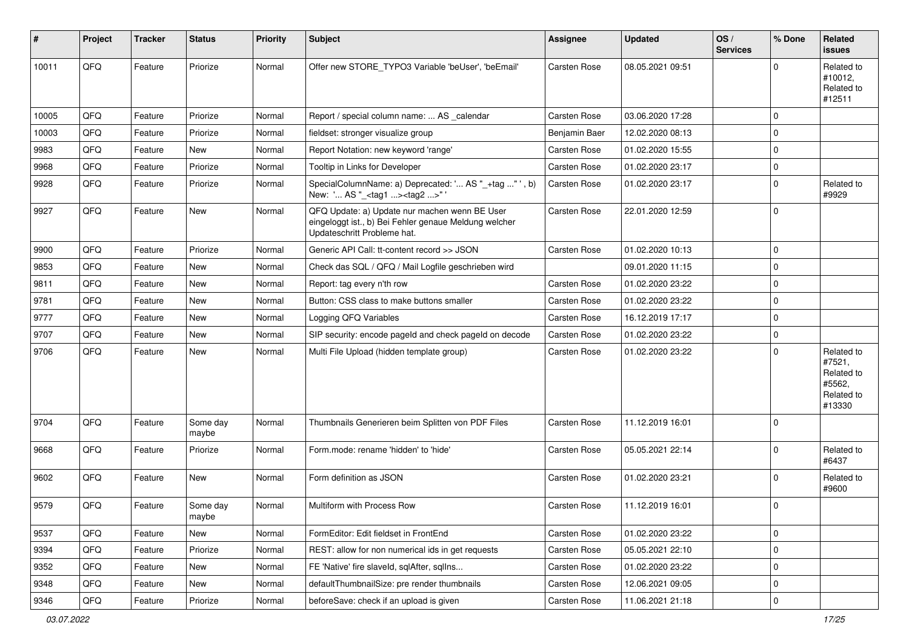| #     | <b>Project</b> | <b>Tracker</b> | <b>Status</b>     | Priority | Subject                                                                                                                               | Assignee      | <b>Updated</b>   | OS/<br><b>Services</b> | % Done      | <b>Related</b><br><b>issues</b>                                      |
|-------|----------------|----------------|-------------------|----------|---------------------------------------------------------------------------------------------------------------------------------------|---------------|------------------|------------------------|-------------|----------------------------------------------------------------------|
| 10011 | QFQ            | Feature        | Priorize          | Normal   | Offer new STORE_TYPO3 Variable 'beUser', 'beEmail'                                                                                    | Carsten Rose  | 08.05.2021 09:51 |                        | $\Omega$    | Related to<br>#10012,<br>Related to<br>#12511                        |
| 10005 | QFQ            | Feature        | Priorize          | Normal   | Report / special column name:  AS calendar                                                                                            | Carsten Rose  | 03.06.2020 17:28 |                        | $\Omega$    |                                                                      |
| 10003 | QFQ            | Feature        | Priorize          | Normal   | fieldset: stronger visualize group                                                                                                    | Benjamin Baer | 12.02.2020 08:13 |                        | $\Omega$    |                                                                      |
| 9983  | QFQ            | Feature        | <b>New</b>        | Normal   | Report Notation: new keyword 'range'                                                                                                  | Carsten Rose  | 01.02.2020 15:55 |                        | $\mathbf 0$ |                                                                      |
| 9968  | QFQ            | Feature        | Priorize          | Normal   | Tooltip in Links for Developer                                                                                                        | Carsten Rose  | 01.02.2020 23:17 |                        | $\mathbf 0$ |                                                                      |
| 9928  | QFQ            | Feature        | Priorize          | Normal   | SpecialColumnName: a) Deprecated: ' AS "_+tag " ', b)<br>New: ' AS "_ <tag1><tag2>" '</tag2></tag1>                                   | Carsten Rose  | 01.02.2020 23:17 |                        | $\mathbf 0$ | Related to<br>#9929                                                  |
| 9927  | QFQ            | Feature        | <b>New</b>        | Normal   | QFQ Update: a) Update nur machen wenn BE User<br>eingeloggt ist., b) Bei Fehler genaue Meldung welcher<br>Updateschritt Probleme hat. | Carsten Rose  | 22.01.2020 12:59 |                        | $\mathbf 0$ |                                                                      |
| 9900  | QFQ            | Feature        | Priorize          | Normal   | Generic API Call: tt-content record >> JSON                                                                                           | Carsten Rose  | 01.02.2020 10:13 |                        | $\mathbf 0$ |                                                                      |
| 9853  | QFQ            | Feature        | New               | Normal   | Check das SQL / QFQ / Mail Logfile geschrieben wird                                                                                   |               | 09.01.2020 11:15 |                        | $\mathbf 0$ |                                                                      |
| 9811  | QFQ            | Feature        | New               | Normal   | Report: tag every n'th row                                                                                                            | Carsten Rose  | 01.02.2020 23:22 |                        | $\mathbf 0$ |                                                                      |
| 9781  | QFQ            | Feature        | <b>New</b>        | Normal   | Button: CSS class to make buttons smaller                                                                                             | Carsten Rose  | 01.02.2020 23:22 |                        | $\mathbf 0$ |                                                                      |
| 9777  | QFQ            | Feature        | New               | Normal   | Logging QFQ Variables                                                                                                                 | Carsten Rose  | 16.12.2019 17:17 |                        | $\mathbf 0$ |                                                                      |
| 9707  | QFQ            | Feature        | New               | Normal   | SIP security: encode pageld and check pageld on decode                                                                                | Carsten Rose  | 01.02.2020 23:22 |                        | $\mathbf 0$ |                                                                      |
| 9706  | QFQ            | Feature        | New               | Normal   | Multi File Upload (hidden template group)                                                                                             | Carsten Rose  | 01.02.2020 23:22 |                        | $\Omega$    | Related to<br>#7521,<br>Related to<br>#5562.<br>Related to<br>#13330 |
| 9704  | QFQ            | Feature        | Some day<br>maybe | Normal   | Thumbnails Generieren beim Splitten von PDF Files                                                                                     | Carsten Rose  | 11.12.2019 16:01 |                        | $\Omega$    |                                                                      |
| 9668  | QFQ            | Feature        | Priorize          | Normal   | Form.mode: rename 'hidden' to 'hide'                                                                                                  | Carsten Rose  | 05.05.2021 22:14 |                        | $\mathbf 0$ | Related to<br>#6437                                                  |
| 9602  | QFQ            | Feature        | <b>New</b>        | Normal   | Form definition as JSON                                                                                                               | Carsten Rose  | 01.02.2020 23:21 |                        | $\mathbf 0$ | Related to<br>#9600                                                  |
| 9579  | QFQ            | Feature        | Some day<br>maybe | Normal   | Multiform with Process Row                                                                                                            | Carsten Rose  | 11.12.2019 16:01 |                        | $\mathbf 0$ |                                                                      |
| 9537  | QFQ            | Feature        | New               | Normal   | FormEditor: Edit fieldset in FrontEnd                                                                                                 | Carsten Rose  | 01.02.2020 23:22 |                        | $\mathbf 0$ |                                                                      |
| 9394  | QFQ            | Feature        | Priorize          | Normal   | REST: allow for non numerical ids in get requests                                                                                     | Carsten Rose  | 05.05.2021 22:10 |                        | $\mathbf 0$ |                                                                      |
| 9352  | QFQ            | Feature        | New               | Normal   | FE 'Native' fire slaveld, sqlAfter, sqlIns                                                                                            | Carsten Rose  | 01.02.2020 23:22 |                        | $\mathbf 0$ |                                                                      |
| 9348  | QFQ            | Feature        | New               | Normal   | defaultThumbnailSize: pre render thumbnails                                                                                           | Carsten Rose  | 12.06.2021 09:05 |                        | $\mathbf 0$ |                                                                      |
| 9346  | QFQ            | Feature        | Priorize          | Normal   | beforeSave: check if an upload is given                                                                                               | Carsten Rose  | 11.06.2021 21:18 |                        | $\mathbf 0$ |                                                                      |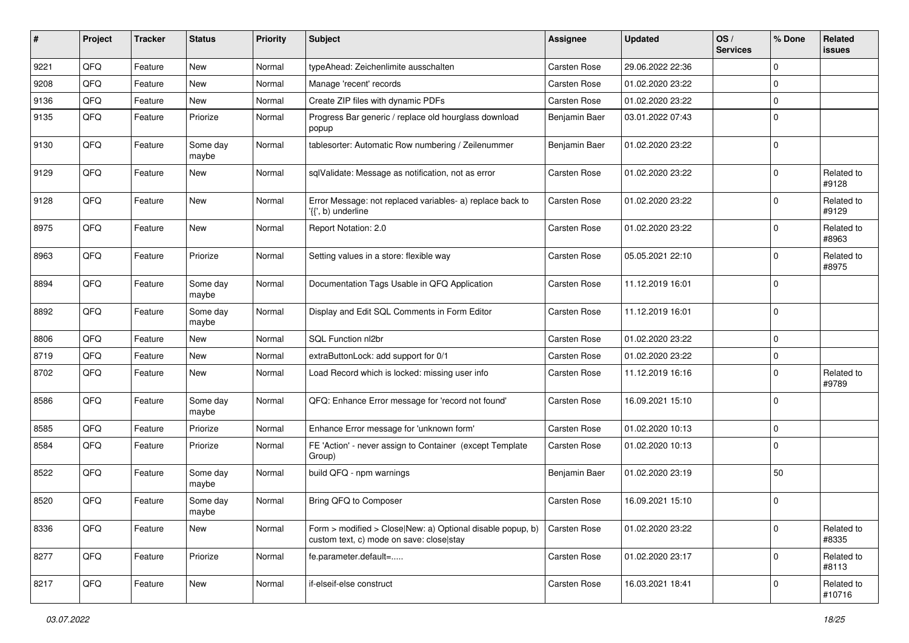| ∦    | Project | <b>Tracker</b> | <b>Status</b>     | <b>Priority</b> | <b>Subject</b>                                                                                         | Assignee            | <b>Updated</b>   | OS/<br><b>Services</b> | % Done      | Related<br><b>issues</b> |
|------|---------|----------------|-------------------|-----------------|--------------------------------------------------------------------------------------------------------|---------------------|------------------|------------------------|-------------|--------------------------|
| 9221 | QFQ     | Feature        | New               | Normal          | typeAhead: Zeichenlimite ausschalten                                                                   | Carsten Rose        | 29.06.2022 22:36 |                        | $\mathbf 0$ |                          |
| 9208 | QFQ     | Feature        | <b>New</b>        | Normal          | Manage 'recent' records                                                                                | Carsten Rose        | 01.02.2020 23:22 |                        | $\mathbf 0$ |                          |
| 9136 | QFQ     | Feature        | <b>New</b>        | Normal          | Create ZIP files with dynamic PDFs                                                                     | Carsten Rose        | 01.02.2020 23:22 |                        | $\mathbf 0$ |                          |
| 9135 | QFQ     | Feature        | Priorize          | Normal          | Progress Bar generic / replace old hourglass download<br>popup                                         | Benjamin Baer       | 03.01.2022 07:43 |                        | $\mathbf 0$ |                          |
| 9130 | QFQ     | Feature        | Some day<br>maybe | Normal          | tablesorter: Automatic Row numbering / Zeilenummer                                                     | Benjamin Baer       | 01.02.2020 23:22 |                        | $\Omega$    |                          |
| 9129 | QFQ     | Feature        | <b>New</b>        | Normal          | sqlValidate: Message as notification, not as error                                                     | <b>Carsten Rose</b> | 01.02.2020 23:22 |                        | $\mathbf 0$ | Related to<br>#9128      |
| 9128 | QFQ     | Feature        | New               | Normal          | Error Message: not replaced variables- a) replace back to<br>'{{', b) underline                        | Carsten Rose        | 01.02.2020 23:22 |                        | $\Omega$    | Related to<br>#9129      |
| 8975 | QFQ     | Feature        | New               | Normal          | Report Notation: 2.0                                                                                   | Carsten Rose        | 01.02.2020 23:22 |                        | $\Omega$    | Related to<br>#8963      |
| 8963 | QFQ     | Feature        | Priorize          | Normal          | Setting values in a store: flexible way                                                                | Carsten Rose        | 05.05.2021 22:10 |                        | $\mathbf 0$ | Related to<br>#8975      |
| 8894 | QFQ     | Feature        | Some day<br>maybe | Normal          | Documentation Tags Usable in QFQ Application                                                           | Carsten Rose        | 11.12.2019 16:01 |                        | $\Omega$    |                          |
| 8892 | QFQ     | Feature        | Some day<br>maybe | Normal          | Display and Edit SQL Comments in Form Editor                                                           | Carsten Rose        | 11.12.2019 16:01 |                        | $\Omega$    |                          |
| 8806 | QFQ     | Feature        | <b>New</b>        | Normal          | SQL Function nl2br                                                                                     | Carsten Rose        | 01.02.2020 23:22 |                        | $\mathbf 0$ |                          |
| 8719 | QFQ     | Feature        | New               | Normal          | extraButtonLock: add support for 0/1                                                                   | Carsten Rose        | 01.02.2020 23:22 |                        | 0           |                          |
| 8702 | QFQ     | Feature        | New               | Normal          | Load Record which is locked: missing user info                                                         | Carsten Rose        | 11.12.2019 16:16 |                        | $\Omega$    | Related to<br>#9789      |
| 8586 | QFQ     | Feature        | Some day<br>maybe | Normal          | QFQ: Enhance Error message for 'record not found'                                                      | Carsten Rose        | 16.09.2021 15:10 |                        | $\mathbf 0$ |                          |
| 8585 | QFQ     | Feature        | Priorize          | Normal          | Enhance Error message for 'unknown form'                                                               | Carsten Rose        | 01.02.2020 10:13 |                        | $\mathbf 0$ |                          |
| 8584 | QFQ     | Feature        | Priorize          | Normal          | FE 'Action' - never assign to Container (except Template<br>Group)                                     | Carsten Rose        | 01.02.2020 10:13 |                        | $\Omega$    |                          |
| 8522 | QFQ     | Feature        | Some day<br>maybe | Normal          | build QFQ - npm warnings                                                                               | Benjamin Baer       | 01.02.2020 23:19 |                        | 50          |                          |
| 8520 | QFQ     | Feature        | Some day<br>maybe | Normal          | Bring QFQ to Composer                                                                                  | Carsten Rose        | 16.09.2021 15:10 |                        | $\mathbf 0$ |                          |
| 8336 | QFQ     | Feature        | New               | Normal          | Form > modified > Close New: a) Optional disable popup, b)<br>custom text, c) mode on save: close stay | Carsten Rose        | 01.02.2020 23:22 |                        | $\mathbf 0$ | Related to<br>#8335      |
| 8277 | QFQ     | Feature        | Priorize          | Normal          | fe.parameter.default=                                                                                  | Carsten Rose        | 01.02.2020 23:17 |                        | $\mathbf 0$ | Related to<br>#8113      |
| 8217 | QFQ     | Feature        | New               | Normal          | if-elseif-else construct                                                                               | Carsten Rose        | 16.03.2021 18:41 |                        | $\mathbf 0$ | Related to<br>#10716     |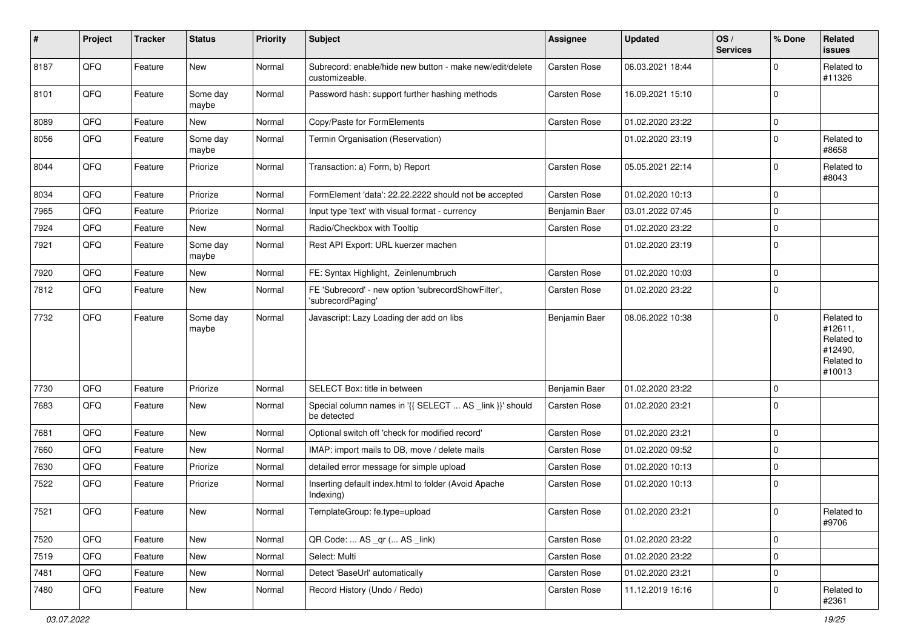| $\pmb{\#}$ | Project | <b>Tracker</b> | <b>Status</b>     | <b>Priority</b> | <b>Subject</b>                                                             | Assignee      | <b>Updated</b>   | OS/<br><b>Services</b> | % Done      | Related<br><b>issues</b>                                               |
|------------|---------|----------------|-------------------|-----------------|----------------------------------------------------------------------------|---------------|------------------|------------------------|-------------|------------------------------------------------------------------------|
| 8187       | QFQ     | Feature        | New               | Normal          | Subrecord: enable/hide new button - make new/edit/delete<br>customizeable. | Carsten Rose  | 06.03.2021 18:44 |                        | $\Omega$    | Related to<br>#11326                                                   |
| 8101       | QFQ     | Feature        | Some day<br>maybe | Normal          | Password hash: support further hashing methods                             | Carsten Rose  | 16.09.2021 15:10 |                        | $\mathbf 0$ |                                                                        |
| 8089       | QFQ     | Feature        | New               | Normal          | Copy/Paste for FormElements                                                | Carsten Rose  | 01.02.2020 23:22 |                        | $\mathbf 0$ |                                                                        |
| 8056       | QFQ     | Feature        | Some day<br>maybe | Normal          | Termin Organisation (Reservation)                                          |               | 01.02.2020 23:19 |                        | $\Omega$    | Related to<br>#8658                                                    |
| 8044       | QFQ     | Feature        | Priorize          | Normal          | Transaction: a) Form, b) Report                                            | Carsten Rose  | 05.05.2021 22:14 |                        | $\mathbf 0$ | Related to<br>#8043                                                    |
| 8034       | QFQ     | Feature        | Priorize          | Normal          | FormElement 'data': 22.22.2222 should not be accepted                      | Carsten Rose  | 01.02.2020 10:13 |                        | $\mathbf 0$ |                                                                        |
| 7965       | QFQ     | Feature        | Priorize          | Normal          | Input type 'text' with visual format - currency                            | Benjamin Baer | 03.01.2022 07:45 |                        | $\Omega$    |                                                                        |
| 7924       | QFQ     | Feature        | New               | Normal          | Radio/Checkbox with Tooltip                                                | Carsten Rose  | 01.02.2020 23:22 |                        | $\mathbf 0$ |                                                                        |
| 7921       | QFQ     | Feature        | Some day<br>maybe | Normal          | Rest API Export: URL kuerzer machen                                        |               | 01.02.2020 23:19 |                        | $\Omega$    |                                                                        |
| 7920       | QFQ     | Feature        | New               | Normal          | FE: Syntax Highlight, Zeinlenumbruch                                       | Carsten Rose  | 01.02.2020 10:03 |                        | $\mathbf 0$ |                                                                        |
| 7812       | QFQ     | Feature        | New               | Normal          | FE 'Subrecord' - new option 'subrecordShowFilter',<br>'subrecordPaging'    | Carsten Rose  | 01.02.2020 23:22 |                        | $\Omega$    |                                                                        |
| 7732       | QFQ     | Feature        | Some day<br>maybe | Normal          | Javascript: Lazy Loading der add on libs                                   | Benjamin Baer | 08.06.2022 10:38 |                        | $\Omega$    | Related to<br>#12611,<br>Related to<br>#12490,<br>Related to<br>#10013 |
| 7730       | QFQ     | Feature        | Priorize          | Normal          | SELECT Box: title in between                                               | Benjamin Baer | 01.02.2020 23:22 |                        | $\mathbf 0$ |                                                                        |
| 7683       | QFQ     | Feature        | New               | Normal          | Special column names in '{{ SELECT  AS _link }}' should<br>be detected     | Carsten Rose  | 01.02.2020 23:21 |                        | $\mathbf 0$ |                                                                        |
| 7681       | QFQ     | Feature        | New               | Normal          | Optional switch off 'check for modified record'                            | Carsten Rose  | 01.02.2020 23:21 |                        | $\mathbf 0$ |                                                                        |
| 7660       | QFQ     | Feature        | New               | Normal          | IMAP: import mails to DB, move / delete mails                              | Carsten Rose  | 01.02.2020 09:52 |                        | $\Omega$    |                                                                        |
| 7630       | QFQ     | Feature        | Priorize          | Normal          | detailed error message for simple upload                                   | Carsten Rose  | 01.02.2020 10:13 |                        | 0           |                                                                        |
| 7522       | QFQ     | Feature        | Priorize          | Normal          | Inserting default index.html to folder (Avoid Apache<br>Indexing)          | Carsten Rose  | 01.02.2020 10:13 |                        | $\mathbf 0$ |                                                                        |
| 7521       | QFQ     | Feature        | New               | Normal          | TemplateGroup: fe.type=upload                                              | Carsten Rose  | 01.02.2020 23:21 |                        | $\mathbf 0$ | Related to<br>#9706                                                    |
| 7520       | QFQ     | Feature        | New               | Normal          | QR Code:  AS _qr ( AS _link)                                               | Carsten Rose  | 01.02.2020 23:22 |                        | $\mathbf 0$ |                                                                        |
| 7519       | QFQ     | Feature        | New               | Normal          | Select: Multi                                                              | Carsten Rose  | 01.02.2020 23:22 |                        | 0           |                                                                        |
| 7481       | QFQ     | Feature        | New               | Normal          | Detect 'BaseUrl' automatically                                             | Carsten Rose  | 01.02.2020 23:21 |                        | $\mathbf 0$ |                                                                        |
| 7480       | QFQ     | Feature        | New               | Normal          | Record History (Undo / Redo)                                               | Carsten Rose  | 11.12.2019 16:16 |                        | 0           | Related to<br>#2361                                                    |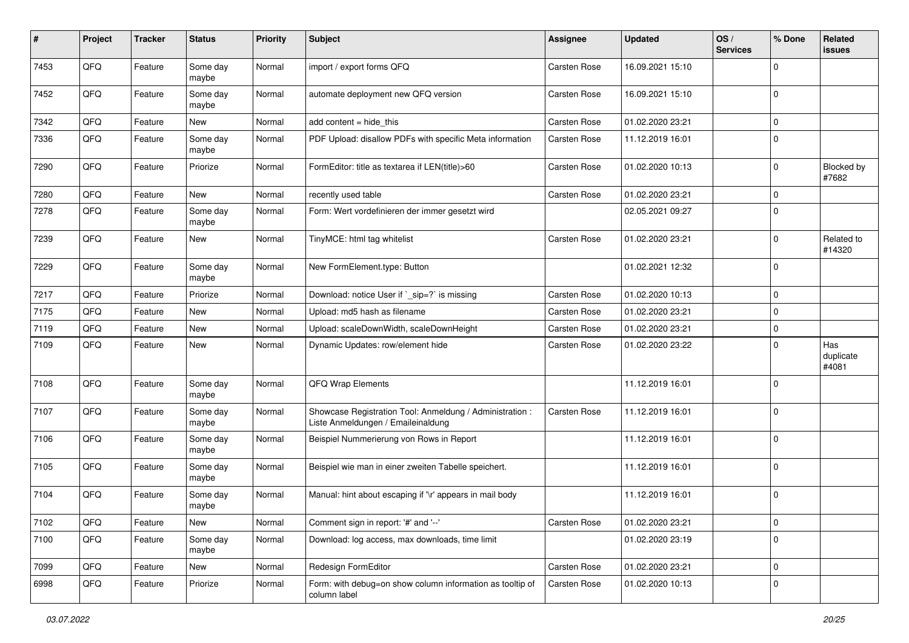| #    | Project | <b>Tracker</b> | <b>Status</b>     | <b>Priority</b> | <b>Subject</b>                                                                                 | <b>Assignee</b>     | <b>Updated</b>   | OS/<br><b>Services</b> | % Done      | Related<br><b>issues</b>  |
|------|---------|----------------|-------------------|-----------------|------------------------------------------------------------------------------------------------|---------------------|------------------|------------------------|-------------|---------------------------|
| 7453 | QFQ     | Feature        | Some day<br>maybe | Normal          | import / export forms QFQ                                                                      | <b>Carsten Rose</b> | 16.09.2021 15:10 |                        | $\mathbf 0$ |                           |
| 7452 | QFQ     | Feature        | Some day<br>maybe | Normal          | automate deployment new QFQ version                                                            | <b>Carsten Rose</b> | 16.09.2021 15:10 |                        | $\mathbf 0$ |                           |
| 7342 | QFQ     | Feature        | New               | Normal          | add content $=$ hide this                                                                      | <b>Carsten Rose</b> | 01.02.2020 23:21 |                        | $\Omega$    |                           |
| 7336 | QFQ     | Feature        | Some day<br>maybe | Normal          | PDF Upload: disallow PDFs with specific Meta information                                       | <b>Carsten Rose</b> | 11.12.2019 16:01 |                        | $\mathbf 0$ |                           |
| 7290 | QFQ     | Feature        | Priorize          | Normal          | FormEditor: title as textarea if LEN(title)>60                                                 | Carsten Rose        | 01.02.2020 10:13 |                        | $\Omega$    | Blocked by<br>#7682       |
| 7280 | QFQ     | Feature        | New               | Normal          | recently used table                                                                            | Carsten Rose        | 01.02.2020 23:21 |                        | $\mathbf 0$ |                           |
| 7278 | QFQ     | Feature        | Some day<br>maybe | Normal          | Form: Wert vordefinieren der immer gesetzt wird                                                |                     | 02.05.2021 09:27 |                        | $\mathbf 0$ |                           |
| 7239 | QFQ     | Feature        | New               | Normal          | TinyMCE: html tag whitelist                                                                    | <b>Carsten Rose</b> | 01.02.2020 23:21 |                        | 0           | Related to<br>#14320      |
| 7229 | QFQ     | Feature        | Some day<br>maybe | Normal          | New FormElement.type: Button                                                                   |                     | 01.02.2021 12:32 |                        | $\Omega$    |                           |
| 7217 | QFQ     | Feature        | Priorize          | Normal          | Download: notice User if `_sip=?` is missing                                                   | <b>Carsten Rose</b> | 01.02.2020 10:13 |                        | $\mathbf 0$ |                           |
| 7175 | QFQ     | Feature        | New               | Normal          | Upload: md5 hash as filename                                                                   | <b>Carsten Rose</b> | 01.02.2020 23:21 |                        | $\mathbf 0$ |                           |
| 7119 | QFQ     | Feature        | New               | Normal          | Upload: scaleDownWidth, scaleDownHeight                                                        | <b>Carsten Rose</b> | 01.02.2020 23:21 |                        | $\mathbf 0$ |                           |
| 7109 | QFQ     | Feature        | New               | Normal          | Dynamic Updates: row/element hide                                                              | <b>Carsten Rose</b> | 01.02.2020 23:22 |                        | $\mathbf 0$ | Has<br>duplicate<br>#4081 |
| 7108 | QFQ     | Feature        | Some day<br>maybe | Normal          | QFQ Wrap Elements                                                                              |                     | 11.12.2019 16:01 |                        | $\Omega$    |                           |
| 7107 | QFQ     | Feature        | Some day<br>maybe | Normal          | Showcase Registration Tool: Anmeldung / Administration :<br>Liste Anmeldungen / Emaileinaldung | <b>Carsten Rose</b> | 11.12.2019 16:01 |                        | $\mathbf 0$ |                           |
| 7106 | QFQ     | Feature        | Some day<br>maybe | Normal          | Beispiel Nummerierung von Rows in Report                                                       |                     | 11.12.2019 16:01 |                        | $\mathbf 0$ |                           |
| 7105 | QFQ     | Feature        | Some day<br>maybe | Normal          | Beispiel wie man in einer zweiten Tabelle speichert.                                           |                     | 11.12.2019 16:01 |                        | $\mathbf 0$ |                           |
| 7104 | QFQ     | Feature        | Some day<br>maybe | Normal          | Manual: hint about escaping if '\r' appears in mail body                                       |                     | 11.12.2019 16:01 |                        | $\mathbf 0$ |                           |
| 7102 | QFG     | Feature        | New               | Normal          | Comment sign in report: '#' and '--'                                                           | Carsten Rose        | 01.02.2020 23:21 |                        | $\mathbf 0$ |                           |
| 7100 | QFQ     | Feature        | Some day<br>maybe | Normal          | Download: log access, max downloads, time limit                                                |                     | 01.02.2020 23:19 |                        | $\mathbf 0$ |                           |
| 7099 | QFQ     | Feature        | New               | Normal          | Redesign FormEditor                                                                            | Carsten Rose        | 01.02.2020 23:21 |                        | $\mathbf 0$ |                           |
| 6998 | QFG     | Feature        | Priorize          | Normal          | Form: with debug=on show column information as tooltip of<br>column label                      | Carsten Rose        | 01.02.2020 10:13 |                        | 0           |                           |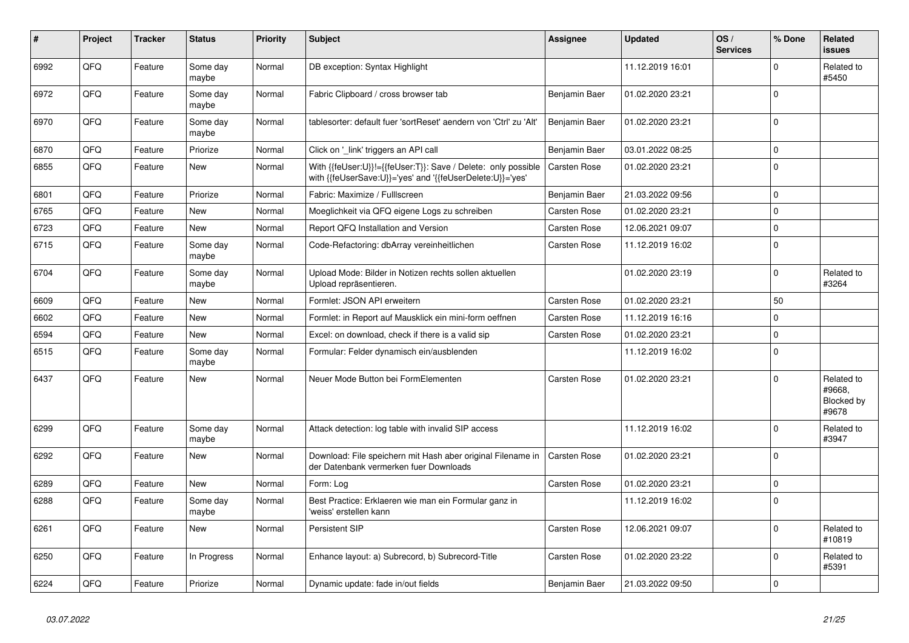| #    | <b>Project</b> | <b>Tracker</b> | <b>Status</b>     | <b>Priority</b> | <b>Subject</b>                                                                                                             | <b>Assignee</b>     | <b>Updated</b>   | OS/<br><b>Services</b> | % Done      | <b>Related</b><br><b>issues</b>             |
|------|----------------|----------------|-------------------|-----------------|----------------------------------------------------------------------------------------------------------------------------|---------------------|------------------|------------------------|-------------|---------------------------------------------|
| 6992 | QFQ            | Feature        | Some day<br>maybe | Normal          | DB exception: Syntax Highlight                                                                                             |                     | 11.12.2019 16:01 |                        | $\Omega$    | Related to<br>#5450                         |
| 6972 | QFQ            | Feature        | Some day<br>maybe | Normal          | Fabric Clipboard / cross browser tab                                                                                       | Benjamin Baer       | 01.02.2020 23:21 |                        | $\mathbf 0$ |                                             |
| 6970 | QFQ            | Feature        | Some dav<br>maybe | Normal          | tablesorter: default fuer 'sortReset' aendern von 'Ctrl' zu 'Alt'                                                          | Benjamin Baer       | 01.02.2020 23:21 |                        | $\Omega$    |                                             |
| 6870 | QFQ            | Feature        | Priorize          | Normal          | Click on '_link' triggers an API call                                                                                      | Benjamin Baer       | 03.01.2022 08:25 |                        | $\mathbf 0$ |                                             |
| 6855 | QFQ            | Feature        | New               | Normal          | With {{feUser:U}}!={{feUser:T}}: Save / Delete: only possible<br>with {{feUserSave:U}}='yes' and '{{feUserDelete:U}}='yes' | Carsten Rose        | 01.02.2020 23:21 |                        | $\mathbf 0$ |                                             |
| 6801 | QFQ            | Feature        | Priorize          | Normal          | Fabric: Maximize / Fulllscreen                                                                                             | Benjamin Baer       | 21.03.2022 09:56 |                        | $\mathbf 0$ |                                             |
| 6765 | QFQ            | Feature        | New               | Normal          | Moeglichkeit via QFQ eigene Logs zu schreiben                                                                              | Carsten Rose        | 01.02.2020 23:21 |                        | $\mathbf 0$ |                                             |
| 6723 | QFQ            | Feature        | <b>New</b>        | Normal          | Report QFQ Installation and Version                                                                                        | Carsten Rose        | 12.06.2021 09:07 |                        | $\mathbf 0$ |                                             |
| 6715 | QFQ            | Feature        | Some dav<br>maybe | Normal          | Code-Refactoring: dbArray vereinheitlichen                                                                                 | <b>Carsten Rose</b> | 11.12.2019 16:02 |                        | $\Omega$    |                                             |
| 6704 | QFQ            | Feature        | Some dav<br>maybe | Normal          | Upload Mode: Bilder in Notizen rechts sollen aktuellen<br>Upload repräsentieren.                                           |                     | 01.02.2020 23:19 |                        | $\mathbf 0$ | Related to<br>#3264                         |
| 6609 | QFQ            | Feature        | New               | Normal          | Formlet: JSON API erweitern                                                                                                | Carsten Rose        | 01.02.2020 23:21 |                        | 50          |                                             |
| 6602 | QFQ            | Feature        | New               | Normal          | Formlet: in Report auf Mausklick ein mini-form oeffnen                                                                     | <b>Carsten Rose</b> | 11.12.2019 16:16 |                        | $\Omega$    |                                             |
| 6594 | QFQ            | Feature        | New               | Normal          | Excel: on download, check if there is a valid sip                                                                          | <b>Carsten Rose</b> | 01.02.2020 23:21 |                        | $\mathbf 0$ |                                             |
| 6515 | QFQ            | Feature        | Some day<br>maybe | Normal          | Formular: Felder dynamisch ein/ausblenden                                                                                  |                     | 11.12.2019 16:02 |                        | $\mathbf 0$ |                                             |
| 6437 | QFQ            | Feature        | <b>New</b>        | Normal          | Neuer Mode Button bei FormElementen                                                                                        | <b>Carsten Rose</b> | 01.02.2020 23:21 |                        | $\Omega$    | Related to<br>#9668,<br>Blocked by<br>#9678 |
| 6299 | QFQ            | Feature        | Some day<br>maybe | Normal          | Attack detection: log table with invalid SIP access                                                                        |                     | 11.12.2019 16:02 |                        | $\Omega$    | Related to<br>#3947                         |
| 6292 | QFQ            | Feature        | <b>New</b>        | Normal          | Download: File speichern mit Hash aber original Filename in<br>der Datenbank vermerken fuer Downloads                      | Carsten Rose        | 01.02.2020 23:21 |                        | $\mathbf 0$ |                                             |
| 6289 | QFQ            | Feature        | <b>New</b>        | Normal          | Form: Log                                                                                                                  | <b>Carsten Rose</b> | 01.02.2020 23:21 |                        | $\mathbf 0$ |                                             |
| 6288 | QFQ            | Feature        | Some day<br>maybe | Normal          | Best Practice: Erklaeren wie man ein Formular ganz in<br>'weiss' erstellen kann                                            |                     | 11.12.2019 16:02 |                        | $\mathbf 0$ |                                             |
| 6261 | QFQ            | Feature        | New               | Normal          | <b>Persistent SIP</b>                                                                                                      | Carsten Rose        | 12.06.2021 09:07 |                        | $\Omega$    | Related to<br>#10819                        |
| 6250 | QFQ            | Feature        | In Progress       | Normal          | Enhance layout: a) Subrecord, b) Subrecord-Title                                                                           | <b>Carsten Rose</b> | 01.02.2020 23:22 |                        | $\mathbf 0$ | Related to<br>#5391                         |
| 6224 | QFQ            | Feature        | Priorize          | Normal          | Dynamic update: fade in/out fields                                                                                         | Benjamin Baer       | 21.03.2022 09:50 |                        | $\Omega$    |                                             |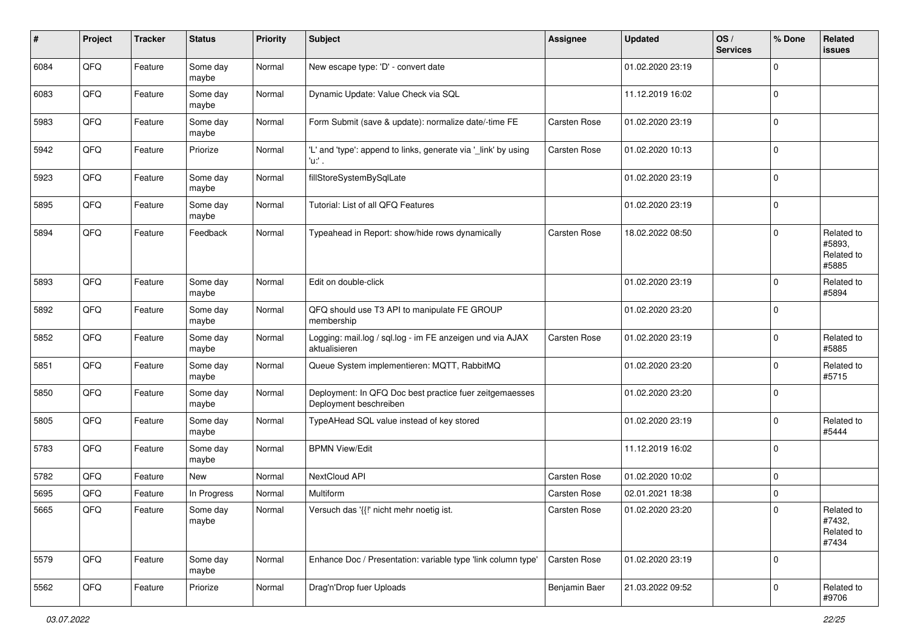| #    | Project | <b>Tracker</b> | <b>Status</b>     | <b>Priority</b> | <b>Subject</b>                                                                    | Assignee            | <b>Updated</b>   | OS/<br><b>Services</b> | % Done      | Related<br><b>issues</b>                    |
|------|---------|----------------|-------------------|-----------------|-----------------------------------------------------------------------------------|---------------------|------------------|------------------------|-------------|---------------------------------------------|
| 6084 | QFQ     | Feature        | Some day<br>maybe | Normal          | New escape type: 'D' - convert date                                               |                     | 01.02.2020 23:19 |                        | $\mathbf 0$ |                                             |
| 6083 | QFQ     | Feature        | Some day<br>maybe | Normal          | Dynamic Update: Value Check via SQL                                               |                     | 11.12.2019 16:02 |                        | $\mathbf 0$ |                                             |
| 5983 | QFQ     | Feature        | Some day<br>maybe | Normal          | Form Submit (save & update): normalize date/-time FE                              | Carsten Rose        | 01.02.2020 23:19 |                        | $\mathbf 0$ |                                             |
| 5942 | QFQ     | Feature        | Priorize          | Normal          | 'L' and 'type': append to links, generate via '_link' by using<br>'u:' .          | Carsten Rose        | 01.02.2020 10:13 |                        | $\mathbf 0$ |                                             |
| 5923 | QFQ     | Feature        | Some day<br>maybe | Normal          | fillStoreSystemBySqlLate                                                          |                     | 01.02.2020 23:19 |                        | $\mathbf 0$ |                                             |
| 5895 | QFQ     | Feature        | Some day<br>maybe | Normal          | Tutorial: List of all QFQ Features                                                |                     | 01.02.2020 23:19 |                        | $\mathbf 0$ |                                             |
| 5894 | QFQ     | Feature        | Feedback          | Normal          | Typeahead in Report: show/hide rows dynamically                                   | Carsten Rose        | 18.02.2022 08:50 |                        | $\Omega$    | Related to<br>#5893,<br>Related to<br>#5885 |
| 5893 | QFQ     | Feature        | Some day<br>maybe | Normal          | Edit on double-click                                                              |                     | 01.02.2020 23:19 |                        | $\mathbf 0$ | Related to<br>#5894                         |
| 5892 | QFQ     | Feature        | Some day<br>maybe | Normal          | QFQ should use T3 API to manipulate FE GROUP<br>membership                        |                     | 01.02.2020 23:20 |                        | $\mathbf 0$ |                                             |
| 5852 | QFQ     | Feature        | Some day<br>maybe | Normal          | Logging: mail.log / sql.log - im FE anzeigen und via AJAX<br>aktualisieren        | Carsten Rose        | 01.02.2020 23:19 |                        | $\mathbf 0$ | Related to<br>#5885                         |
| 5851 | QFQ     | Feature        | Some day<br>maybe | Normal          | Queue System implementieren: MQTT, RabbitMQ                                       |                     | 01.02.2020 23:20 |                        | $\mathbf 0$ | Related to<br>#5715                         |
| 5850 | QFQ     | Feature        | Some day<br>maybe | Normal          | Deployment: In QFQ Doc best practice fuer zeitgemaesses<br>Deployment beschreiben |                     | 01.02.2020 23:20 |                        | $\mathbf 0$ |                                             |
| 5805 | QFQ     | Feature        | Some day<br>maybe | Normal          | TypeAHead SQL value instead of key stored                                         |                     | 01.02.2020 23:19 |                        | $\mathbf 0$ | Related to<br>#5444                         |
| 5783 | QFQ     | Feature        | Some day<br>maybe | Normal          | <b>BPMN View/Edit</b>                                                             |                     | 11.12.2019 16:02 |                        | $\mathbf 0$ |                                             |
| 5782 | QFQ     | Feature        | New               | Normal          | NextCloud API                                                                     | Carsten Rose        | 01.02.2020 10:02 |                        | $\mathbf 0$ |                                             |
| 5695 | QFQ     | Feature        | In Progress       | Normal          | Multiform                                                                         | <b>Carsten Rose</b> | 02.01.2021 18:38 |                        | $\mathbf 0$ |                                             |
| 5665 | QFQ     | Feature        | Some day<br>maybe | Normal          | Versuch das '{{!' nicht mehr noetig ist.                                          | <b>Carsten Rose</b> | 01.02.2020 23:20 |                        | $\Omega$    | Related to<br>#7432,<br>Related to<br>#7434 |
| 5579 | QFQ     | Feature        | Some day<br>maybe | Normal          | Enhance Doc / Presentation: variable type 'link column type'                      | Carsten Rose        | 01.02.2020 23:19 |                        | $\mathbf 0$ |                                             |
| 5562 | QFQ     | Feature        | Priorize          | Normal          | Drag'n'Drop fuer Uploads                                                          | Benjamin Baer       | 21.03.2022 09:52 |                        | $\mathbf 0$ | Related to<br>#9706                         |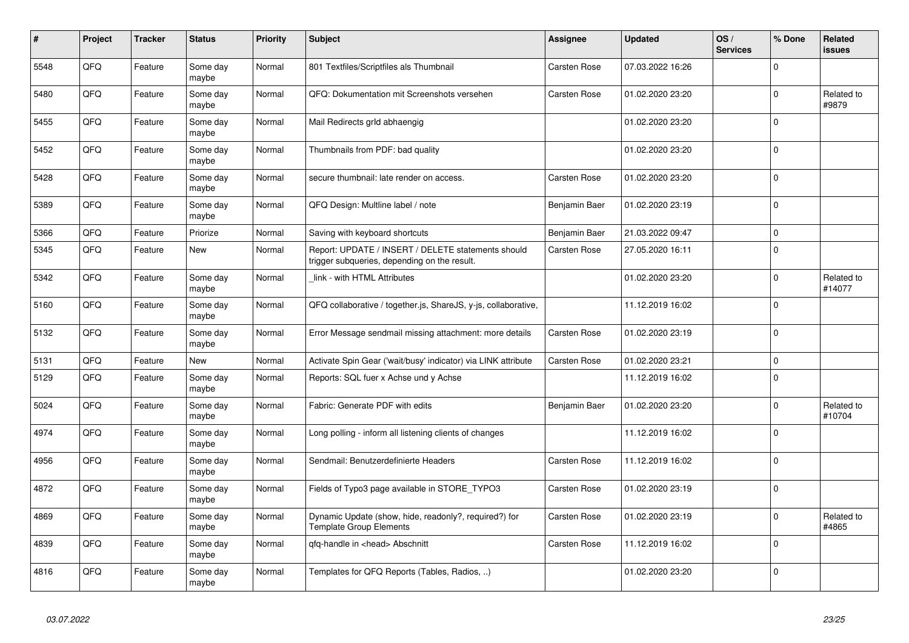| $\pmb{\sharp}$ | Project | <b>Tracker</b> | <b>Status</b>     | <b>Priority</b> | <b>Subject</b>                                                                                     | Assignee            | <b>Updated</b>   | OS/<br><b>Services</b> | % Done      | <b>Related</b><br>issues |
|----------------|---------|----------------|-------------------|-----------------|----------------------------------------------------------------------------------------------------|---------------------|------------------|------------------------|-------------|--------------------------|
| 5548           | QFQ     | Feature        | Some day<br>maybe | Normal          | 801 Textfiles/Scriptfiles als Thumbnail                                                            | <b>Carsten Rose</b> | 07.03.2022 16:26 |                        | $\Omega$    |                          |
| 5480           | QFQ     | Feature        | Some day<br>maybe | Normal          | QFQ: Dokumentation mit Screenshots versehen                                                        | <b>Carsten Rose</b> | 01.02.2020 23:20 |                        | $\mathbf 0$ | Related to<br>#9879      |
| 5455           | QFQ     | Feature        | Some day<br>maybe | Normal          | Mail Redirects grld abhaengig                                                                      |                     | 01.02.2020 23:20 |                        | $\mathbf 0$ |                          |
| 5452           | QFQ     | Feature        | Some day<br>maybe | Normal          | Thumbnails from PDF: bad quality                                                                   |                     | 01.02.2020 23:20 |                        | $\mathbf 0$ |                          |
| 5428           | QFQ     | Feature        | Some day<br>maybe | Normal          | secure thumbnail: late render on access.                                                           | <b>Carsten Rose</b> | 01.02.2020 23:20 |                        | $\mathbf 0$ |                          |
| 5389           | QFQ     | Feature        | Some day<br>maybe | Normal          | QFQ Design: Multline label / note                                                                  | Benjamin Baer       | 01.02.2020 23:19 |                        | $\mathbf 0$ |                          |
| 5366           | QFQ     | Feature        | Priorize          | Normal          | Saving with keyboard shortcuts                                                                     | Benjamin Baer       | 21.03.2022 09:47 |                        | $\mathbf 0$ |                          |
| 5345           | QFQ     | Feature        | New               | Normal          | Report: UPDATE / INSERT / DELETE statements should<br>trigger subqueries, depending on the result. | Carsten Rose        | 27.05.2020 16:11 |                        | $\mathbf 0$ |                          |
| 5342           | QFQ     | Feature        | Some day<br>maybe | Normal          | link - with HTML Attributes                                                                        |                     | 01.02.2020 23:20 |                        | $\mathbf 0$ | Related to<br>#14077     |
| 5160           | QFQ     | Feature        | Some day<br>maybe | Normal          | QFQ collaborative / together.js, ShareJS, y-js, collaborative,                                     |                     | 11.12.2019 16:02 |                        | $\Omega$    |                          |
| 5132           | QFQ     | Feature        | Some day<br>maybe | Normal          | Error Message sendmail missing attachment: more details                                            | Carsten Rose        | 01.02.2020 23:19 |                        | $\mathbf 0$ |                          |
| 5131           | QFQ     | Feature        | New               | Normal          | Activate Spin Gear ('wait/busy' indicator) via LINK attribute                                      | <b>Carsten Rose</b> | 01.02.2020 23:21 |                        | $\mathbf 0$ |                          |
| 5129           | QFQ     | Feature        | Some day<br>maybe | Normal          | Reports: SQL fuer x Achse und y Achse                                                              |                     | 11.12.2019 16:02 |                        | $\mathbf 0$ |                          |
| 5024           | QFQ     | Feature        | Some day<br>maybe | Normal          | Fabric: Generate PDF with edits                                                                    | Benjamin Baer       | 01.02.2020 23:20 |                        | $\mathbf 0$ | Related to<br>#10704     |
| 4974           | QFQ     | Feature        | Some day<br>maybe | Normal          | Long polling - inform all listening clients of changes                                             |                     | 11.12.2019 16:02 |                        | $\mathbf 0$ |                          |
| 4956           | QFQ     | Feature        | Some day<br>maybe | Normal          | Sendmail: Benutzerdefinierte Headers                                                               | Carsten Rose        | 11.12.2019 16:02 |                        | $\pmb{0}$   |                          |
| 4872           | QFQ     | Feature        | Some day<br>maybe | Normal          | Fields of Typo3 page available in STORE TYPO3                                                      | Carsten Rose        | 01.02.2020 23:19 |                        | $\Omega$    |                          |
| 4869           | QFQ     | Feature        | Some day<br>maybe | Normal          | Dynamic Update (show, hide, readonly?, required?) for<br><b>Template Group Elements</b>            | <b>Carsten Rose</b> | 01.02.2020 23:19 |                        | $\mathbf 0$ | Related to<br>#4865      |
| 4839           | QFQ     | Feature        | Some day<br>maybe | Normal          | qfq-handle in <head> Abschnitt</head>                                                              | Carsten Rose        | 11.12.2019 16:02 |                        | $\mathbf 0$ |                          |
| 4816           | QFQ     | Feature        | Some day<br>maybe | Normal          | Templates for QFQ Reports (Tables, Radios, )                                                       |                     | 01.02.2020 23:20 |                        | $\mathbf 0$ |                          |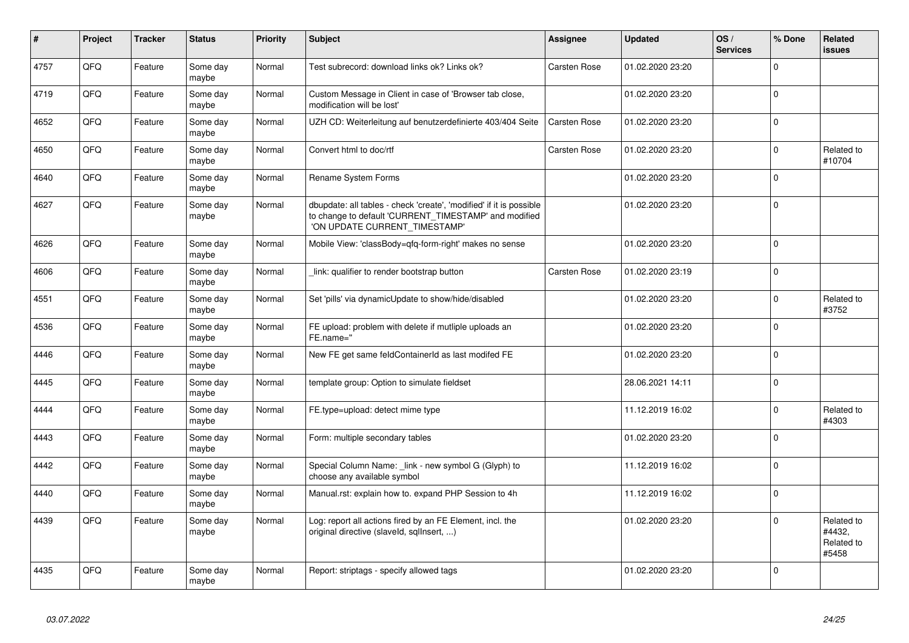| $\vert$ # | Project | <b>Tracker</b> | <b>Status</b>     | <b>Priority</b> | <b>Subject</b>                                                                                                                                                | <b>Assignee</b>     | <b>Updated</b>   | OS/<br><b>Services</b> | % Done       | Related<br><b>issues</b>                    |
|-----------|---------|----------------|-------------------|-----------------|---------------------------------------------------------------------------------------------------------------------------------------------------------------|---------------------|------------------|------------------------|--------------|---------------------------------------------|
| 4757      | QFQ     | Feature        | Some day<br>maybe | Normal          | Test subrecord: download links ok? Links ok?                                                                                                                  | Carsten Rose        | 01.02.2020 23:20 |                        | $\Omega$     |                                             |
| 4719      | QFQ     | Feature        | Some day<br>maybe | Normal          | Custom Message in Client in case of 'Browser tab close,<br>modification will be lost'                                                                         |                     | 01.02.2020 23:20 |                        | $\Omega$     |                                             |
| 4652      | QFQ     | Feature        | Some day<br>maybe | Normal          | UZH CD: Weiterleitung auf benutzerdefinierte 403/404 Seite                                                                                                    | <b>Carsten Rose</b> | 01.02.2020 23:20 |                        | $\mathbf 0$  |                                             |
| 4650      | QFQ     | Feature        | Some day<br>maybe | Normal          | Convert html to doc/rtf                                                                                                                                       | Carsten Rose        | 01.02.2020 23:20 |                        | $\mathbf{0}$ | Related to<br>#10704                        |
| 4640      | QFQ     | Feature        | Some day<br>maybe | Normal          | <b>Rename System Forms</b>                                                                                                                                    |                     | 01.02.2020 23:20 |                        | $\Omega$     |                                             |
| 4627      | QFQ     | Feature        | Some day<br>maybe | Normal          | dbupdate: all tables - check 'create', 'modified' if it is possible<br>to change to default 'CURRENT_TIMESTAMP' and modified<br>'ON UPDATE CURRENT TIMESTAMP' |                     | 01.02.2020 23:20 |                        | $\mathbf 0$  |                                             |
| 4626      | QFQ     | Feature        | Some day<br>maybe | Normal          | Mobile View: 'classBody=qfq-form-right' makes no sense                                                                                                        |                     | 01.02.2020 23:20 |                        | $\Omega$     |                                             |
| 4606      | QFQ     | Feature        | Some day<br>maybe | Normal          | link: qualifier to render bootstrap button                                                                                                                    | Carsten Rose        | 01.02.2020 23:19 |                        | $\mathbf 0$  |                                             |
| 4551      | QFQ     | Feature        | Some day<br>maybe | Normal          | Set 'pills' via dynamicUpdate to show/hide/disabled                                                                                                           |                     | 01.02.2020 23:20 |                        | $\mathbf 0$  | Related to<br>#3752                         |
| 4536      | QFQ     | Feature        | Some day<br>maybe | Normal          | FE upload: problem with delete if mutliple uploads an<br>FE.name="                                                                                            |                     | 01.02.2020 23:20 |                        | $\mathbf 0$  |                                             |
| 4446      | QFQ     | Feature        | Some day<br>maybe | Normal          | New FE get same feldContainerId as last modifed FE                                                                                                            |                     | 01.02.2020 23:20 |                        | $\mathbf 0$  |                                             |
| 4445      | QFQ     | Feature        | Some day<br>maybe | Normal          | template group: Option to simulate fieldset                                                                                                                   |                     | 28.06.2021 14:11 |                        | $\Omega$     |                                             |
| 4444      | QFQ     | Feature        | Some day<br>maybe | Normal          | FE.type=upload: detect mime type                                                                                                                              |                     | 11.12.2019 16:02 |                        | $\mathbf 0$  | Related to<br>#4303                         |
| 4443      | QFQ     | Feature        | Some day<br>maybe | Normal          | Form: multiple secondary tables                                                                                                                               |                     | 01.02.2020 23:20 |                        | $\Omega$     |                                             |
| 4442      | QFQ     | Feature        | Some day<br>maybe | Normal          | Special Column Name: _link - new symbol G (Glyph) to<br>choose any available symbol                                                                           |                     | 11.12.2019 16:02 |                        | $\mathbf 0$  |                                             |
| 4440      | QFQ     | Feature        | Some day<br>maybe | Normal          | Manual.rst: explain how to. expand PHP Session to 4h                                                                                                          |                     | 11.12.2019 16:02 |                        | $\Omega$     |                                             |
| 4439      | QFQ     | Feature        | Some day<br>maybe | Normal          | Log: report all actions fired by an FE Element, incl. the<br>original directive (slaveld, sqllnsert, )                                                        |                     | 01.02.2020 23:20 |                        | $\Omega$     | Related to<br>#4432.<br>Related to<br>#5458 |
| 4435      | QFQ     | Feature        | Some day<br>maybe | Normal          | Report: striptags - specify allowed tags                                                                                                                      |                     | 01.02.2020 23:20 |                        | $\Omega$     |                                             |